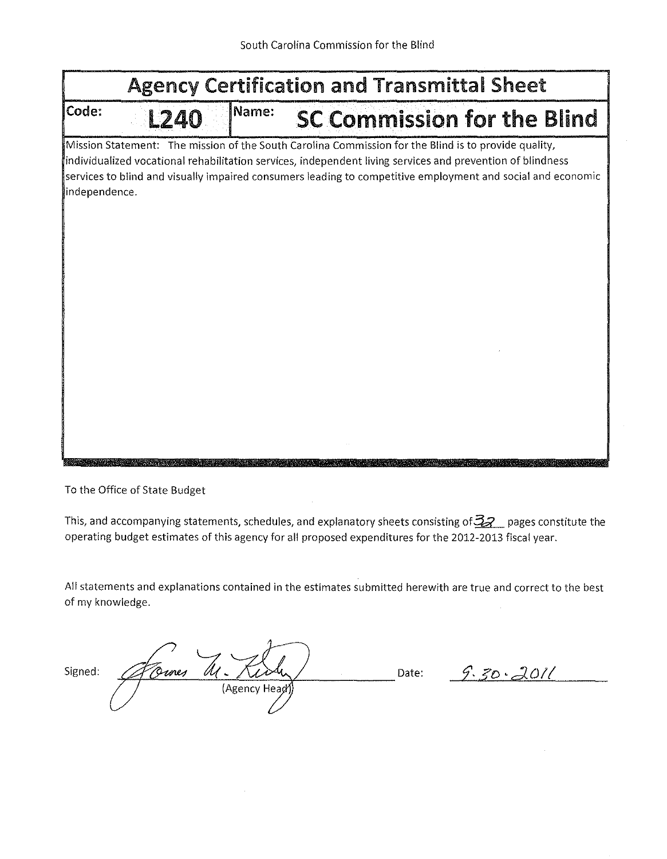|       | <b>Agency Certification and Transmittal Sheet</b>                                                                                                                                                                                                                                                                                                  |       |                                    |  |  |  |  |  |  |  |
|-------|----------------------------------------------------------------------------------------------------------------------------------------------------------------------------------------------------------------------------------------------------------------------------------------------------------------------------------------------------|-------|------------------------------------|--|--|--|--|--|--|--|
| Code: | L240                                                                                                                                                                                                                                                                                                                                               | Name: | <b>SC Commission for the Blind</b> |  |  |  |  |  |  |  |
|       | Mission Statement: The mission of the South Carolina Commission for the Blind is to provide quality,<br>individualized vocational rehabilitation services, independent living services and prevention of blindness<br>services to blind and visually impaired consumers leading to competitive employment and social and economic<br>independence. |       |                                    |  |  |  |  |  |  |  |
|       |                                                                                                                                                                                                                                                                                                                                                    |       |                                    |  |  |  |  |  |  |  |
|       |                                                                                                                                                                                                                                                                                                                                                    |       |                                    |  |  |  |  |  |  |  |
|       |                                                                                                                                                                                                                                                                                                                                                    |       |                                    |  |  |  |  |  |  |  |
|       |                                                                                                                                                                                                                                                                                                                                                    |       |                                    |  |  |  |  |  |  |  |

To the Office of State Budget

This, and accompanying statements, schedules, and explanatory sheets consisting of  $\frac{3}{2}$  pages constitute the operating budget estimates of this agency for all proposed expenditures for the 2012-2013 fiscal year.

All statements and explanations contained in the estimates submitted herewith are true and correct to the best of my knowledge.

| Signed: | Ormes |               | Date: | ጣ |
|---------|-------|---------------|-------|---|
|         |       | (Agency Head) |       |   |

 $\sim$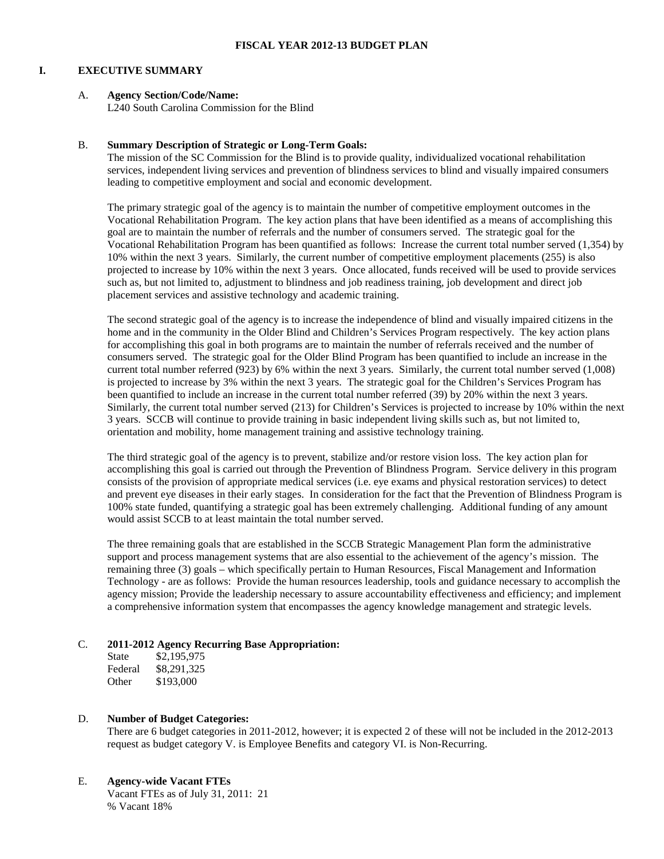## **I. EXECUTIVE SUMMARY**

# A. **Agency Section/Code/Name:**

L240 South Carolina Commission for the Blind

## B. **Summary Description of Strategic or Long-Term Goals:**

The mission of the SC Commission for the Blind is to provide quality, individualized vocational rehabilitation services, independent living services and prevention of blindness services to blind and visually impaired consumers leading to competitive employment and social and economic development.

The primary strategic goal of the agency is to maintain the number of competitive employment outcomes in the Vocational Rehabilitation Program. The key action plans that have been identified as a means of accomplishing this goal are to maintain the number of referrals and the number of consumers served. The strategic goal for the Vocational Rehabilitation Program has been quantified as follows: Increase the current total number served (1,354) by 10% within the next 3 years. Similarly, the current number of competitive employment placements (255) is also projected to increase by 10% within the next 3 years. Once allocated, funds received will be used to provide services such as, but not limited to, adjustment to blindness and job readiness training, job development and direct job placement services and assistive technology and academic training.

The second strategic goal of the agency is to increase the independence of blind and visually impaired citizens in the home and in the community in the Older Blind and Children's Services Program respectively. The key action plans for accomplishing this goal in both programs are to maintain the number of referrals received and the number of consumers served. The strategic goal for the Older Blind Program has been quantified to include an increase in the current total number referred (923) by 6% within the next 3 years. Similarly, the current total number served (1,008) is projected to increase by 3% within the next 3 years. The strategic goal for the Children's Services Program has been quantified to include an increase in the current total number referred (39) by 20% within the next 3 years. Similarly, the current total number served (213) for Children's Services is projected to increase by 10% within the next 3 years. SCCB will continue to provide training in basic independent living skills such as, but not limited to, orientation and mobility, home management training and assistive technology training.

The third strategic goal of the agency is to prevent, stabilize and/or restore vision loss. The key action plan for accomplishing this goal is carried out through the Prevention of Blindness Program. Service delivery in this program consists of the provision of appropriate medical services (i.e. eye exams and physical restoration services) to detect and prevent eye diseases in their early stages. In consideration for the fact that the Prevention of Blindness Program is 100% state funded, quantifying a strategic goal has been extremely challenging. Additional funding of any amount would assist SCCB to at least maintain the total number served.

The three remaining goals that are established in the SCCB Strategic Management Plan form the administrative support and process management systems that are also essential to the achievement of the agency's mission. The remaining three (3) goals – which specifically pertain to Human Resources, Fiscal Management and Information Technology - are as follows: Provide the human resources leadership, tools and guidance necessary to accomplish the agency mission; Provide the leadership necessary to assure accountability effectiveness and efficiency; and implement a comprehensive information system that encompasses the agency knowledge management and strategic levels.

# C. **2011-2012 Agency Recurring Base Appropriation:**

State \$2,195,975 Federal \$8,291,325 Other \$193,000

# D. **Number of Budget Categories:**

There are 6 budget categories in 2011-2012, however; it is expected 2 of these will not be included in the 2012-2013 request as budget category V. is Employee Benefits and category VI. is Non-Recurring.

# E. **Agency-wide Vacant FTEs**

Vacant FTEs as of July 31, 2011: 21 % Vacant 18%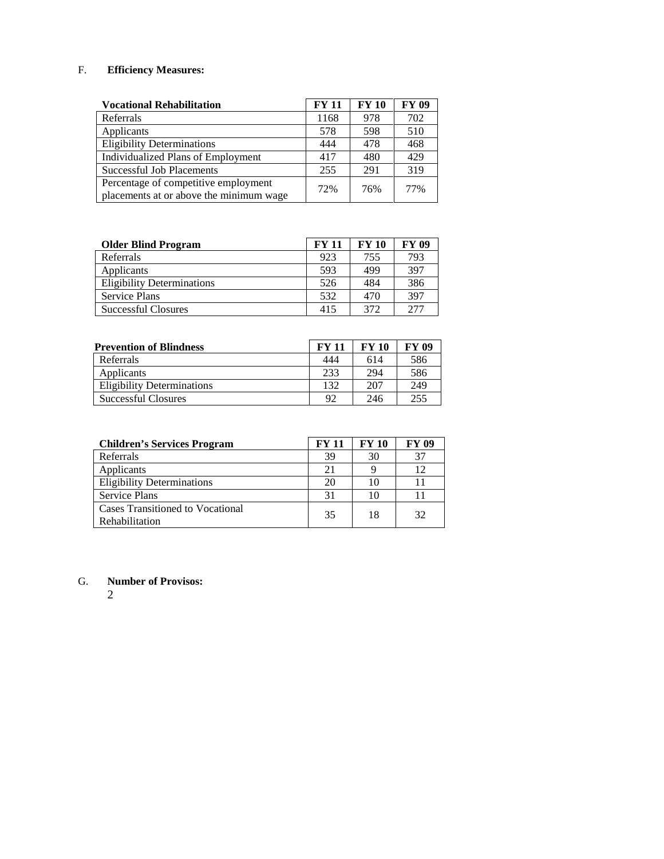# F. **Efficiency Measures:**

| <b>Vocational Rehabilitation</b>                                                | <b>FY 11</b> | <b>FY 10</b> | <b>FY 09</b> |
|---------------------------------------------------------------------------------|--------------|--------------|--------------|
| Referrals                                                                       | 1168         | 978          | 702          |
| Applicants                                                                      | 578          | 598          | 510          |
| <b>Eligibility Determinations</b>                                               | 444          | 478          | 468          |
| Individualized Plans of Employment                                              | 417          | 480          | 429          |
| Successful Job Placements                                                       | 255          | 291          | 319          |
| Percentage of competitive employment<br>placements at or above the minimum wage | 72%          | 76%          | 77%          |

| <b>Older Blind Program</b>        | FY 11 | <b>FY 10</b> | <b>FY 09</b> |
|-----------------------------------|-------|--------------|--------------|
| Referrals                         | 923   | 755          | 793          |
| Applicants                        | 593   | 499          | 397          |
| <b>Eligibility Determinations</b> | 526   | 484          | 386          |
| <b>Service Plans</b>              | 532   | 470          | 397          |
| Successful Closures               | 415   | 372          | 2.77         |

| <b>Prevention of Blindness</b>    | <b>FY 11</b>   | <b>FY 10</b> | FY 09 |
|-----------------------------------|----------------|--------------|-------|
| Referrals                         | 444            | 614          | 586   |
| Applicants                        | 233            | 294          | 586   |
| <b>Eligibility Determinations</b> | 132            | 207          | 249   |
| Successful Closures               | Q <sub>2</sub> | 246          | 255   |

| <b>Children's Services Program</b>                 | <b>FY 11</b> | <b>FY 10</b> | <b>FY 09</b> |
|----------------------------------------------------|--------------|--------------|--------------|
| Referrals                                          | 39           | 30           |              |
| Applicants                                         | 21           |              | 12           |
| <b>Eligibility Determinations</b>                  | 20           | 10           |              |
| <b>Service Plans</b>                               | 31           | 10           |              |
| Cases Transitioned to Vocational<br>Rehabilitation | 35           | 18           | 32           |

G. **Number of Provisos:**

2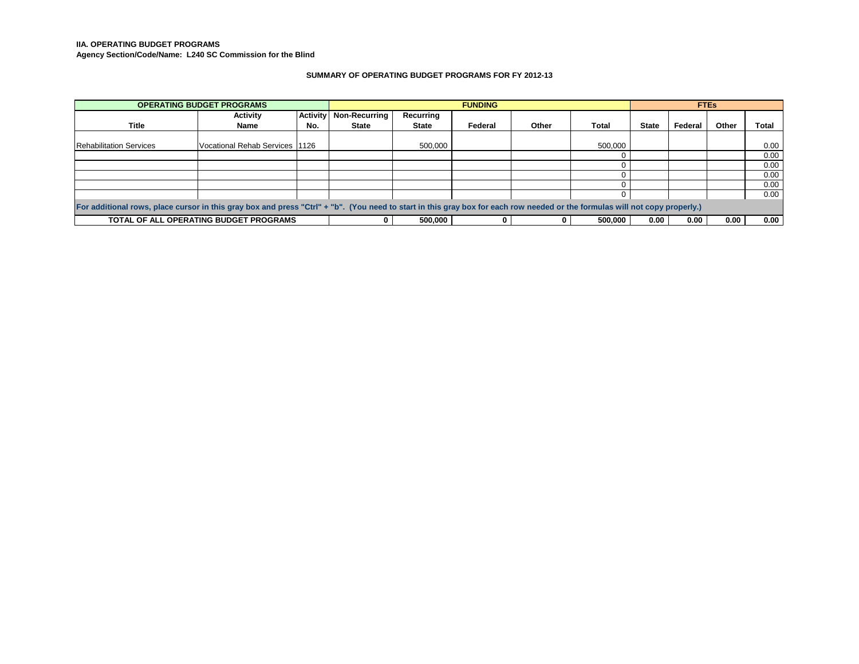#### **IIA. OPERATING BUDGET PROGRAMS**

**Agency Section/Code/Name: L240 SC Commission for the Blind**

#### **SUMMARY OF OPERATING BUDGET PROGRAMS FOR FY 2012-13**

|                                                                                                                                                                             | <b>OPERATING BUDGET PROGRAMS</b>       |     | <b>FUNDING</b>           |              |         | <b>FTEs</b> |         |              |         |       |       |
|-----------------------------------------------------------------------------------------------------------------------------------------------------------------------------|----------------------------------------|-----|--------------------------|--------------|---------|-------------|---------|--------------|---------|-------|-------|
|                                                                                                                                                                             | <b>Activity</b>                        |     | Activity   Non-Recurring | Recurring    |         |             |         |              |         |       |       |
| <b>Title</b>                                                                                                                                                                | Name                                   | No. | State                    | <b>State</b> | Federal | Other       | Total   | <b>State</b> | Federal | Other | Total |
|                                                                                                                                                                             |                                        |     |                          |              |         |             |         |              |         |       |       |
| <b>Rehabilitation Services</b>                                                                                                                                              | Vocational Rehab Services 1126         |     |                          | 500,000      |         |             | 500,000 |              |         |       | 0.00  |
|                                                                                                                                                                             |                                        |     |                          |              |         |             |         |              |         |       | 0.00  |
|                                                                                                                                                                             |                                        |     |                          |              |         |             |         |              |         |       | 0.00  |
|                                                                                                                                                                             |                                        |     |                          |              |         |             |         |              |         |       | 0.00  |
|                                                                                                                                                                             |                                        |     |                          |              |         |             |         |              |         |       | 0.00  |
|                                                                                                                                                                             |                                        |     |                          |              |         |             |         |              |         |       | 0.00  |
| For additional rows, place cursor in this gray box and press "Ctrl" + "b". (You need to start in this gray box for each row needed or the formulas will not copy properly.) |                                        |     |                          |              |         |             |         |              |         |       |       |
|                                                                                                                                                                             | TOTAL OF ALL OPERATING BUDGET PROGRAMS |     |                          | 500,000      |         |             | 500.000 | 0.00         | 0.00    | 0.00  | 0.00  |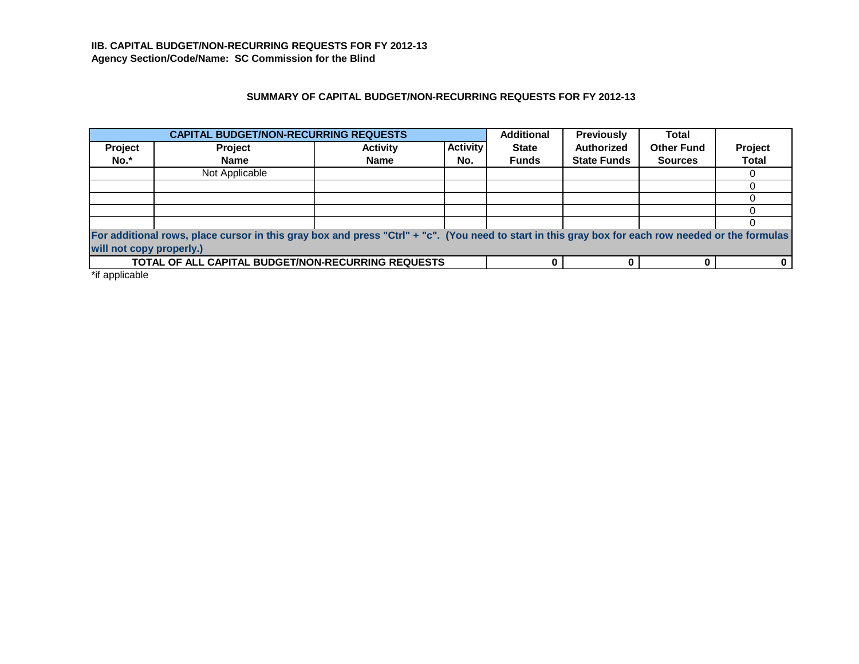# **SUMMARY OF CAPITAL BUDGET/NON-RECURRING REQUESTS FOR FY 2012-13**

|                          | <b>CAPITAL BUDGET/NON-RECURRING REQUESTS</b><br><b>Additional</b><br><b>Previously</b>                                                             |                 |                 |              |                    | <b>Total</b>      |                |  |  |  |
|--------------------------|----------------------------------------------------------------------------------------------------------------------------------------------------|-----------------|-----------------|--------------|--------------------|-------------------|----------------|--|--|--|
| Project                  | Project                                                                                                                                            | <b>Activity</b> | <b>Activity</b> | <b>State</b> | Authorized         | <b>Other Fund</b> | <b>Project</b> |  |  |  |
| No.*                     | Name                                                                                                                                               | <b>Name</b>     | No.             | <b>Funds</b> | <b>State Funds</b> | <b>Sources</b>    | <b>Total</b>   |  |  |  |
|                          | Not Applicable                                                                                                                                     |                 |                 |              |                    |                   |                |  |  |  |
|                          |                                                                                                                                                    |                 |                 |              |                    |                   |                |  |  |  |
|                          |                                                                                                                                                    |                 |                 |              |                    |                   |                |  |  |  |
|                          |                                                                                                                                                    |                 |                 |              |                    |                   |                |  |  |  |
|                          |                                                                                                                                                    |                 |                 |              |                    |                   |                |  |  |  |
|                          | For additional rows, place cursor in this gray box and press "Ctrl" + "c". (You need to start in this gray box for each row needed or the formulas |                 |                 |              |                    |                   |                |  |  |  |
| will not copy properly.) |                                                                                                                                                    |                 |                 |              |                    |                   |                |  |  |  |
|                          | <b>TOTAL OF ALL CAPITAL BUDGET/NON-RECURRING REQUESTS</b>                                                                                          |                 |                 |              |                    |                   |                |  |  |  |

\*if applicable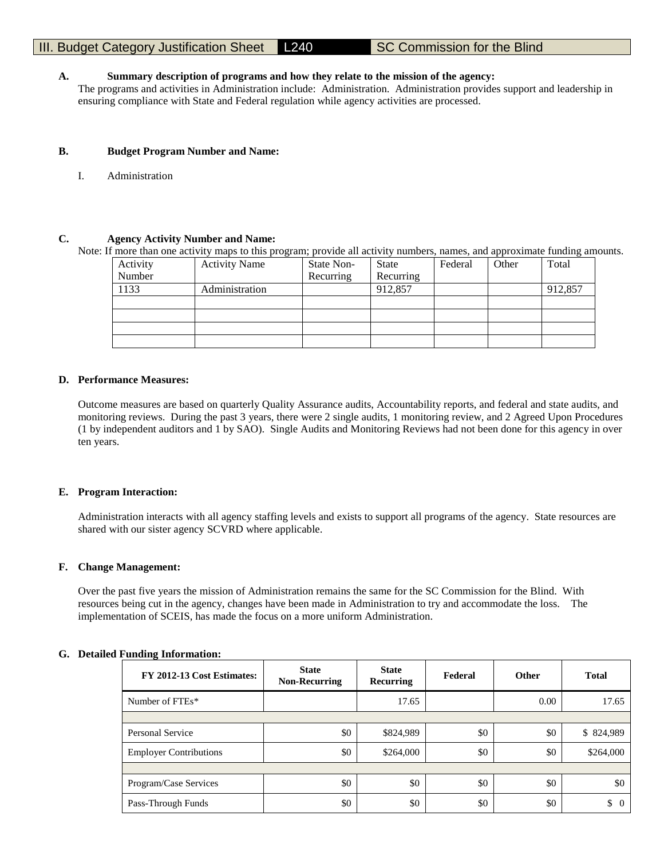# III. Budget Category Justification Sheet **L240** SC Commission for the Blind

## **A. Summary description of programs and how they relate to the mission of the agency:**

The programs and activities in Administration include: Administration. Administration provides support and leadership in ensuring compliance with State and Federal regulation while agency activities are processed.

## **B. Budget Program Number and Name:**

I. Administration

## **C. Agency Activity Number and Name:**

Note: If more than one activity maps to this program; provide all activity numbers, names, and approximate funding amounts.

| Activity | <b>Activity Name</b> | State Non- | <b>State</b> | Federal | Other | Total   |
|----------|----------------------|------------|--------------|---------|-------|---------|
| Number   |                      | Recurring  | Recurring    |         |       |         |
| 1133     | Administration       |            | 912,857      |         |       | 912,857 |
|          |                      |            |              |         |       |         |
|          |                      |            |              |         |       |         |
|          |                      |            |              |         |       |         |
|          |                      |            |              |         |       |         |

## **D. Performance Measures:**

Outcome measures are based on quarterly Quality Assurance audits, Accountability reports, and federal and state audits, and monitoring reviews. During the past 3 years, there were 2 single audits, 1 monitoring review, and 2 Agreed Upon Procedures (1 by independent auditors and 1 by SAO). Single Audits and Monitoring Reviews had not been done for this agency in over ten years.

## **E. Program Interaction:**

Administration interacts with all agency staffing levels and exists to support all programs of the agency. State resources are shared with our sister agency SCVRD where applicable.

## **F. Change Management:**

Over the past five years the mission of Administration remains the same for the SC Commission for the Blind. With resources being cut in the agency, changes have been made in Administration to try and accommodate the loss. The implementation of SCEIS, has made the focus on a more uniform Administration.

## **G. Detailed Funding Information:**

| FY 2012-13 Cost Estimates:    | <b>State</b><br><b>Non-Recurring</b> | <b>State</b><br>Recurring | Federal | <b>Other</b> | <b>Total</b> |
|-------------------------------|--------------------------------------|---------------------------|---------|--------------|--------------|
| Number of FTEs*               |                                      | 17.65                     |         | 0.00         | 17.65        |
|                               |                                      |                           |         |              |              |
| Personal Service              | \$0                                  | \$824,989                 | \$0     | \$0          | \$824,989    |
| <b>Employer Contributions</b> | \$0                                  | \$264,000                 | \$0     | \$0          | \$264,000    |
|                               |                                      |                           |         |              |              |
| Program/Case Services         | \$0                                  | \$0                       | \$0     | \$0          | \$0          |
| Pass-Through Funds            | \$0                                  | \$0                       | \$0     | \$0          | \$<br>0      |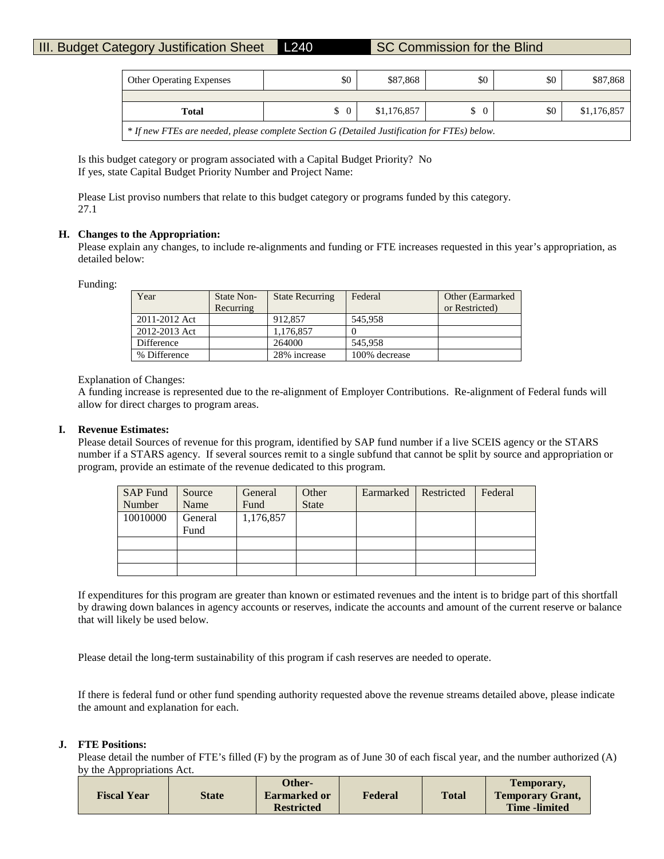| <b>Other Operating Expenses</b>                                                              | \$0            | \$87,868    | \$0            | \$0 | \$87,868    |  |  |  |  |
|----------------------------------------------------------------------------------------------|----------------|-------------|----------------|-----|-------------|--|--|--|--|
|                                                                                              |                |             |                |     |             |  |  |  |  |
| Total                                                                                        | $\Omega$<br>S. | \$1,176,857 | $\Omega$<br>\$ | \$0 | \$1,176,857 |  |  |  |  |
| * If new FTEs are needed, please complete Section G (Detailed Justification for FTEs) below. |                |             |                |     |             |  |  |  |  |

Is this budget category or program associated with a Capital Budget Priority? No If yes, state Capital Budget Priority Number and Project Name:

Please List proviso numbers that relate to this budget category or programs funded by this category. 27.1

## **H. Changes to the Appropriation:**

Please explain any changes, to include re-alignments and funding or FTE increases requested in this year's appropriation, as detailed below:

Funding:

| Year          | <b>State Non-</b> | <b>State Recurring</b> | Federal       | Other (Earmarked) |
|---------------|-------------------|------------------------|---------------|-------------------|
|               | Recurring         |                        |               | or Restricted)    |
| 2011-2012 Act |                   | 912.857                | 545.958       |                   |
| 2012-2013 Act |                   | 1,176,857              |               |                   |
| Difference    |                   | 264000                 | 545.958       |                   |
| % Difference  |                   | 28% increase           | 100% decrease |                   |

## Explanation of Changes:

A funding increase is represented due to the re-alignment of Employer Contributions. Re-alignment of Federal funds will allow for direct charges to program areas.

## **I. Revenue Estimates:**

Please detail Sources of revenue for this program, identified by SAP fund number if a live SCEIS agency or the STARS number if a STARS agency. If several sources remit to a single subfund that cannot be split by source and appropriation or program, provide an estimate of the revenue dedicated to this program.

| <b>SAP Fund</b> | Source  | General   | Other        | Earmarked | Restricted | Federal |
|-----------------|---------|-----------|--------------|-----------|------------|---------|
| Number          | Name    | Fund      | <b>State</b> |           |            |         |
| 10010000        | General | 1,176,857 |              |           |            |         |
|                 | Fund    |           |              |           |            |         |
|                 |         |           |              |           |            |         |
|                 |         |           |              |           |            |         |
|                 |         |           |              |           |            |         |

If expenditures for this program are greater than known or estimated revenues and the intent is to bridge part of this shortfall by drawing down balances in agency accounts or reserves, indicate the accounts and amount of the current reserve or balance that will likely be used below.

Please detail the long-term sustainability of this program if cash reserves are needed to operate.

If there is federal fund or other fund spending authority requested above the revenue streams detailed above, please indicate the amount and explanation for each.

## **J. FTE Positions:**

Please detail the number of FTE's filled (F) by the program as of June 30 of each fiscal year, and the number authorized (A) by the Appropriations Act.

|                    |       | Other-            |         |              | Temporary,              |
|--------------------|-------|-------------------|---------|--------------|-------------------------|
| <b>Fiscal Year</b> | State | Earmarked or      | Federal | <b>Total</b> | <b>Temporary Grant,</b> |
|                    |       | <b>Restricted</b> |         |              | <b>Time</b> -limited    |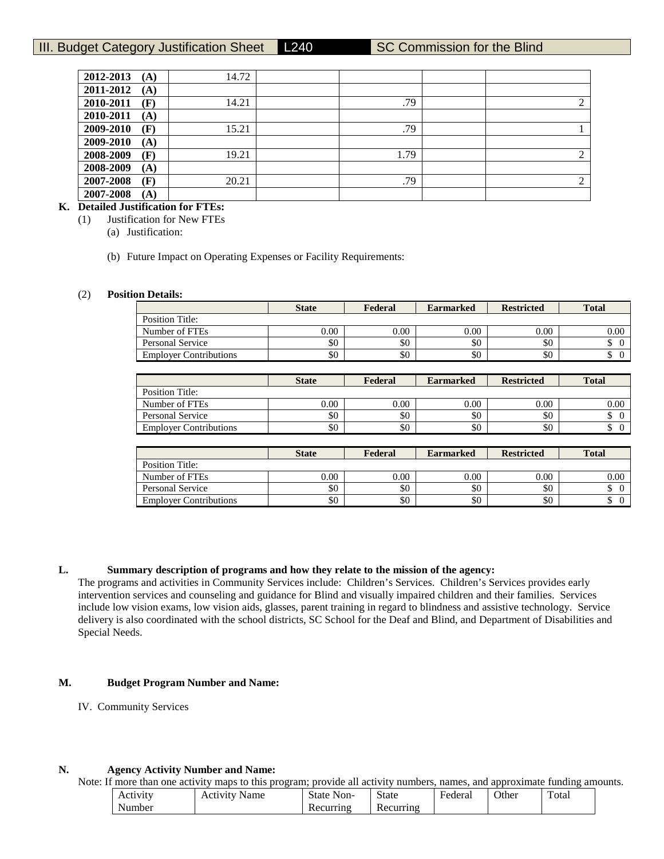# III. Budget Category Justification Sheet L240 SC Commission for the Blind

| 2012-2013 | (A) | 14.72 |      |   |
|-----------|-----|-------|------|---|
| 2011-2012 | (A) |       |      |   |
| 2010-2011 | (F) | 14.21 | .79  | 2 |
| 2010-2011 | (A) |       |      |   |
| 2009-2010 | (F) | 15.21 | .79  |   |
| 2009-2010 | (A) |       |      |   |
| 2008-2009 | (F) | 19.21 | 1.79 | 2 |
| 2008-2009 | (A) |       |      |   |
| 2007-2008 | (F) | 20.21 | .79  | 2 |
| 2007-2008 | (A) |       |      |   |

# **K. Detailed Justification for FTEs:**

(1) Justification for New FTEs

(a) Justification:

(b) Future Impact on Operating Expenses or Facility Requirements:

#### (2) **Position Details:**

|                               | <b>State</b> | Federal | <b>Earmarked</b> | <b>Restricted</b> | <b>Total</b> |
|-------------------------------|--------------|---------|------------------|-------------------|--------------|
| Position Title:               |              |         |                  |                   |              |
| Number of FTEs                | $0.00\,$     | 0.00    | 0.00             | 0.00              | 0.00         |
| Personal Service              | \$0          | \$0     | \$0              | \$0               | ◡            |
| <b>Employer Contributions</b> | \$0          | \$0     | \$0              | \$0               | Φ            |

|                               | <b>State</b> | Federal  | <b>Earmarked</b> | <b>Restricted</b> | <b>Total</b> |
|-------------------------------|--------------|----------|------------------|-------------------|--------------|
| Position Title:               |              |          |                  |                   |              |
| Number of FTEs                | 0.00         | $0.00\,$ | 0.00             | 0.00              | $0.00\,$     |
| Personal Service              | \$0          | \$0      | \$0              | \$0               |              |
| <b>Employer Contributions</b> | \$0          | \$0      | \$0              | \$0               |              |

|                               | <b>State</b> | Federal | <b>Earmarked</b> | <b>Restricted</b> | <b>Total</b> |
|-------------------------------|--------------|---------|------------------|-------------------|--------------|
| Position Title:               |              |         |                  |                   |              |
| Number of FTEs                | 0.00         | 0.00    | 0.00             | 0.00              | 0.00         |
| Personal Service              | \$0          | \$0     | \$0              | \$0               | D            |
| <b>Employer Contributions</b> | \$0          | \$0     | \$0              | \$0               | ◡            |

**L. Summary description of programs and how they relate to the mission of the agency:**

The programs and activities in Community Services include: Children's Services. Children's Services provides early intervention services and counseling and guidance for Blind and visually impaired children and their families. Services include low vision exams, low vision aids, glasses, parent training in regard to blindness and assistive technology. Service delivery is also coordinated with the school districts, SC School for the Deaf and Blind, and Department of Disabilities and Special Needs.

## **M. Budget Program Number and Name:**

IV. Community Services

# **N. Agency Activity Number and Name:**

Note: If more than one activity maps to this program; provide all activity numbers, names, and approximate funding amounts.

| Activity | Name<br>Activity | <b>State</b><br>Non- | <b>State</b> | Federa. | Other | Total |
|----------|------------------|----------------------|--------------|---------|-------|-------|
| Number   |                  | Recurring            | Recurring    |         |       |       |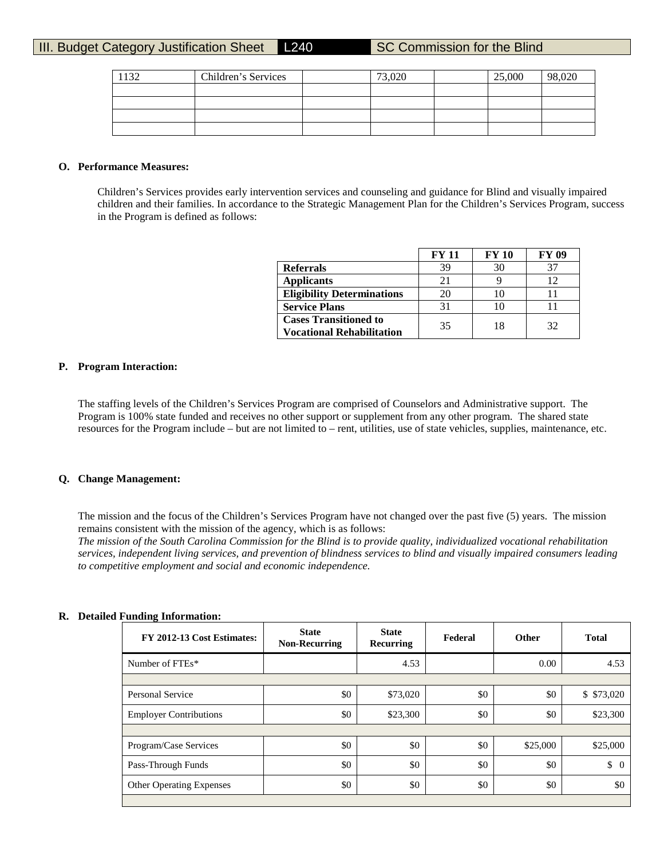| 132 | Children's Services | 73,020 | 25,000 | 98,020 |
|-----|---------------------|--------|--------|--------|
|     |                     |        |        |        |
|     |                     |        |        |        |
|     |                     |        |        |        |
|     |                     |        |        |        |

## **O. Performance Measures:**

Children's Services provides early intervention services and counseling and guidance for Blind and visually impaired children and their families. In accordance to the Strategic Management Plan for the Children's Services Program, success in the Program is defined as follows:

|                                   | <b>FY 11</b> | <b>FY 10</b> | <b>FY 09</b> |
|-----------------------------------|--------------|--------------|--------------|
| <b>Referrals</b>                  | 39           |              | 37           |
| <b>Applicants</b>                 | 21           |              |              |
| <b>Eligibility Determinations</b> | 20           |              |              |
| <b>Service Plans</b>              | 31           |              |              |
| <b>Cases Transitioned to</b>      | 35           | 18           | 32           |
| <b>Vocational Rehabilitation</b>  |              |              |              |

## **P. Program Interaction:**

The staffing levels of the Children's Services Program are comprised of Counselors and Administrative support. The Program is 100% state funded and receives no other support or supplement from any other program. The shared state resources for the Program include – but are not limited to – rent, utilities, use of state vehicles, supplies, maintenance, etc.

## **Q. Change Management:**

**R. Detailed Funding Information:**

The mission and the focus of the Children's Services Program have not changed over the past five (5) years. The mission remains consistent with the mission of the agency, which is as follows:

*The mission of the South Carolina Commission for the Blind is to provide quality, individualized vocational rehabilitation services, independent living services, and prevention of blindness services to blind and visually impaired consumers leading to competitive employment and social and economic independence.*

| FY 2012-13 Cost Estimates:      | <b>State</b><br><b>Non-Recurring</b> | <b>State</b><br>Recurring | Federal | <b>Other</b> | <b>Total</b>   |
|---------------------------------|--------------------------------------|---------------------------|---------|--------------|----------------|
| Number of FTEs*                 |                                      | 4.53                      |         | 0.00         | 4.53           |
|                                 |                                      |                           |         |              |                |
| Personal Service                | \$0                                  | \$73,020                  | \$0     | \$0          | \$73,020       |
| <b>Employer Contributions</b>   | \$0                                  | \$23,300                  | \$0     | \$0          | \$23,300       |
|                                 |                                      |                           |         |              |                |
| Program/Case Services           | \$0                                  | \$0                       | \$0     | \$25,000     | \$25,000       |
| Pass-Through Funds              | \$0                                  | \$0                       | \$0     | \$0          | \$<br>$\Omega$ |
| <b>Other Operating Expenses</b> | \$0                                  | \$0                       | \$0     | \$0          | \$0            |
|                                 |                                      |                           |         |              |                |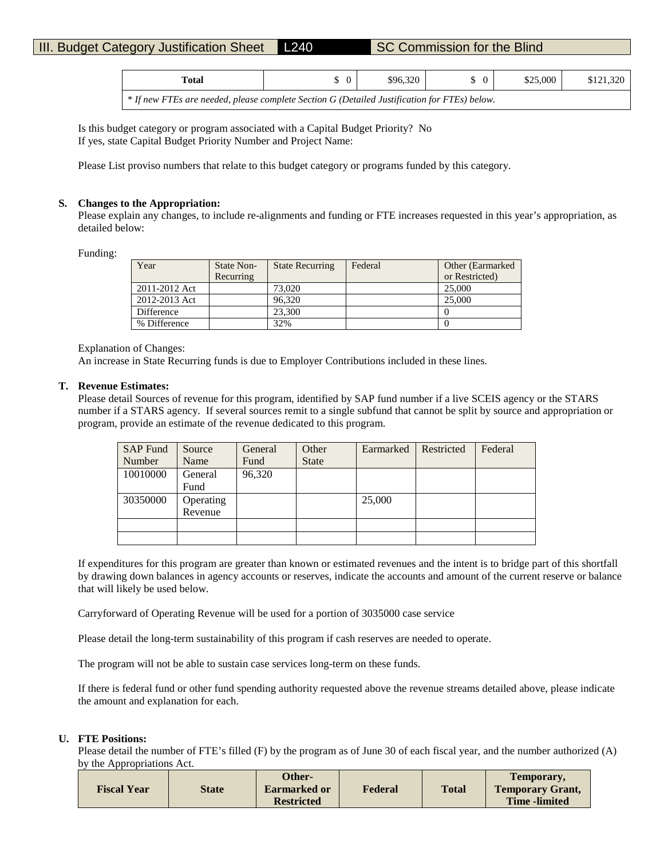| Total                                                                                        | \$96,320 | $\Omega$ | \$25,000 | \$121,320 |
|----------------------------------------------------------------------------------------------|----------|----------|----------|-----------|
| * If new FTEs are needed, please complete Section G (Detailed Justification for FTEs) below. |          |          |          |           |

Is this budget category or program associated with a Capital Budget Priority? No If yes, state Capital Budget Priority Number and Project Name:

Please List proviso numbers that relate to this budget category or programs funded by this category.

## **S. Changes to the Appropriation:**

Please explain any changes, to include re-alignments and funding or FTE increases requested in this year's appropriation, as detailed below:

Funding:

| Year          | State Non- | <b>State Recurring</b> | Federal | Other (Earmarked) |
|---------------|------------|------------------------|---------|-------------------|
|               | Recurring  |                        |         | or Restricted)    |
| 2011-2012 Act |            | 73,020                 |         | 25,000            |
| 2012-2013 Act |            | 96.320                 |         | 25,000            |
| Difference    |            | 23,300                 |         |                   |
| % Difference  |            | 32%                    |         |                   |

### Explanation of Changes:

An increase in State Recurring funds is due to Employer Contributions included in these lines.

## **T. Revenue Estimates:**

Please detail Sources of revenue for this program, identified by SAP fund number if a live SCEIS agency or the STARS number if a STARS agency. If several sources remit to a single subfund that cannot be split by source and appropriation or program, provide an estimate of the revenue dedicated to this program.

| <b>SAP Fund</b> | Source    | General | Other        | Earmarked | Restricted | Federal |
|-----------------|-----------|---------|--------------|-----------|------------|---------|
| Number          | Name      | Fund    | <b>State</b> |           |            |         |
| 10010000        | General   | 96,320  |              |           |            |         |
|                 | Fund      |         |              |           |            |         |
| 30350000        | Operating |         |              | 25,000    |            |         |
|                 | Revenue   |         |              |           |            |         |
|                 |           |         |              |           |            |         |
|                 |           |         |              |           |            |         |

If expenditures for this program are greater than known or estimated revenues and the intent is to bridge part of this shortfall by drawing down balances in agency accounts or reserves, indicate the accounts and amount of the current reserve or balance that will likely be used below.

Carryforward of Operating Revenue will be used for a portion of 3035000 case service

Please detail the long-term sustainability of this program if cash reserves are needed to operate.

The program will not be able to sustain case services long-term on these funds.

If there is federal fund or other fund spending authority requested above the revenue streams detailed above, please indicate the amount and explanation for each.

## **U. FTE Positions:**

Please detail the number of FTE's filled (F) by the program as of June 30 of each fiscal year, and the number authorized (A) by the Appropriations Act.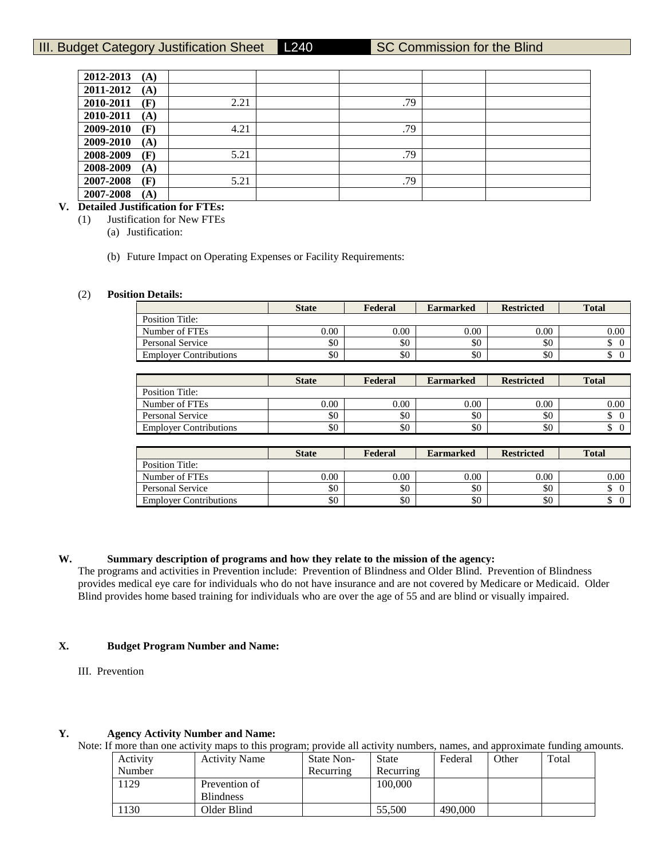| 2012-2013 | (A) |      |     |  |
|-----------|-----|------|-----|--|
| 2011-2012 | (A) |      |     |  |
| 2010-2011 | (F) | 2.21 | .79 |  |
| 2010-2011 | (A) |      |     |  |
| 2009-2010 | (F) | 4.21 | .79 |  |
| 2009-2010 | (A) |      |     |  |
| 2008-2009 | (F) | 5.21 | .79 |  |
| 2008-2009 | (A) |      |     |  |
| 2007-2008 | (F) | 5.21 | .79 |  |
| 2007-2008 | (A) |      |     |  |

# **V. Detailed Justification for FTEs:**

(1) Justification for New FTEs

(a) Justification:

(b) Future Impact on Operating Expenses or Facility Requirements:

#### (2) **Position Details:**

|                               | <b>State</b> | Federal | <b>Earmarked</b> | <b>Restricted</b> | <b>Total</b> |
|-------------------------------|--------------|---------|------------------|-------------------|--------------|
| Position Title:               |              |         |                  |                   |              |
| Number of FTEs                | $0.00\,$     | 0.00    | 0.00             | $0.00\,$          | 0.00         |
| <b>Personal Service</b>       | \$0          | \$0     | \$0              | \$0               | ۰D           |
| <b>Employer Contributions</b> | \$0          | \$0     | \$0              | \$0               |              |

|                               | <b>State</b> | Federal  | <b>Earmarked</b> | <b>Restricted</b> | <b>Total</b> |
|-------------------------------|--------------|----------|------------------|-------------------|--------------|
| Position Title:               |              |          |                  |                   |              |
| Number of FTEs                | 0.00         | $0.00\,$ | 0.00             | 0.00              | $0.00\,$     |
| <b>Personal Service</b>       | \$0          | \$0      | \$0              | \$0               |              |
| <b>Employer Contributions</b> | \$0          | \$0      | \$0              | \$0               |              |

|                               | <b>State</b> | Federal | <b>Earmarked</b> | <b>Restricted</b> | <b>Total</b> |
|-------------------------------|--------------|---------|------------------|-------------------|--------------|
| Position Title:               |              |         |                  |                   |              |
| Number of FTEs                | 0.00         | 0.00    | 0.00             | 0.00              | 0.00         |
| Personal Service              | \$0          | \$0     | \$0              | \$0               | Φ            |
| <b>Employer Contributions</b> | \$0          | \$0     | \$0              | \$0               | Φ            |

## **W. Summary description of programs and how they relate to the mission of the agency:**

The programs and activities in Prevention include: Prevention of Blindness and Older Blind. Prevention of Blindness provides medical eye care for individuals who do not have insurance and are not covered by Medicare or Medicaid. Older Blind provides home based training for individuals who are over the age of 55 and are blind or visually impaired.

## **X. Budget Program Number and Name:**

III. Prevention

## **Y. Agency Activity Number and Name:**

Note: If more than one activity maps to this program; provide all activity numbers, names, and approximate funding amounts.

| Activity | <b>Activity Name</b> | State Non- | State     | Federal | Other | Total |
|----------|----------------------|------------|-----------|---------|-------|-------|
| Number   |                      | Recurring  | Recurring |         |       |       |
| 1129     | Prevention of        |            | 100.000   |         |       |       |
|          | <b>Blindness</b>     |            |           |         |       |       |
| 1130     | Older Blind          |            | 55,500    | 490,000 |       |       |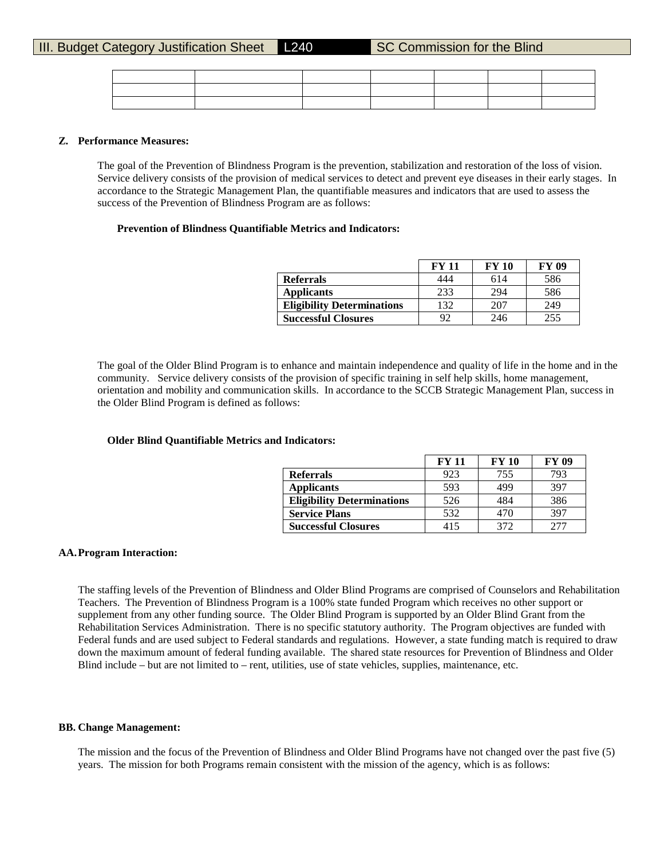|  |  |  | the contract of the contract of the contract of the contract of the contract of |
|--|--|--|---------------------------------------------------------------------------------|
|  |  |  |                                                                                 |
|  |  |  |                                                                                 |

#### **Z. Performance Measures:**

The goal of the Prevention of Blindness Program is the prevention, stabilization and restoration of the loss of vision. Service delivery consists of the provision of medical services to detect and prevent eye diseases in their early stages. In accordance to the Strategic Management Plan, the quantifiable measures and indicators that are used to assess the success of the Prevention of Blindness Program are as follows:

#### **Prevention of Blindness Quantifiable Metrics and Indicators:**

|                                   | <b>FY 11</b> | <b>FY 10</b> | <b>FY 09</b> |
|-----------------------------------|--------------|--------------|--------------|
| <b>Referrals</b>                  | 444          | 614          | 586          |
| <b>Applicants</b>                 | 233          | 294          | 586          |
| <b>Eligibility Determinations</b> | 132          | 207          | 249          |
| <b>Successful Closures</b>        | 92           | 246          | 255          |

The goal of the Older Blind Program is to enhance and maintain independence and quality of life in the home and in the community. Service delivery consists of the provision of specific training in self help skills, home management, orientation and mobility and communication skills. In accordance to the SCCB Strategic Management Plan, success in the Older Blind Program is defined as follows:

## **Older Blind Quantifiable Metrics and Indicators:**

|                                   | FY 11 | <b>FY 10</b> | <b>FY 09</b> |
|-----------------------------------|-------|--------------|--------------|
| <b>Referrals</b>                  | 923   | 755          | 793          |
| <b>Applicants</b>                 | 593   | 499          | 397          |
| <b>Eligibility Determinations</b> | 526   | 484          | 386          |
| <b>Service Plans</b>              | 532   | 470          | 397          |
| <b>Successful Closures</b>        | 415   | 372          |              |

## **AA.Program Interaction:**

The staffing levels of the Prevention of Blindness and Older Blind Programs are comprised of Counselors and Rehabilitation Teachers. The Prevention of Blindness Program is a 100% state funded Program which receives no other support or supplement from any other funding source. The Older Blind Program is supported by an Older Blind Grant from the Rehabilitation Services Administration. There is no specific statutory authority. The Program objectives are funded with Federal funds and are used subject to Federal standards and regulations. However, a state funding match is required to draw down the maximum amount of federal funding available. The shared state resources for Prevention of Blindness and Older Blind include – but are not limited to – rent, utilities, use of state vehicles, supplies, maintenance, etc.

### **BB. Change Management:**

The mission and the focus of the Prevention of Blindness and Older Blind Programs have not changed over the past five (5) years. The mission for both Programs remain consistent with the mission of the agency, which is as follows: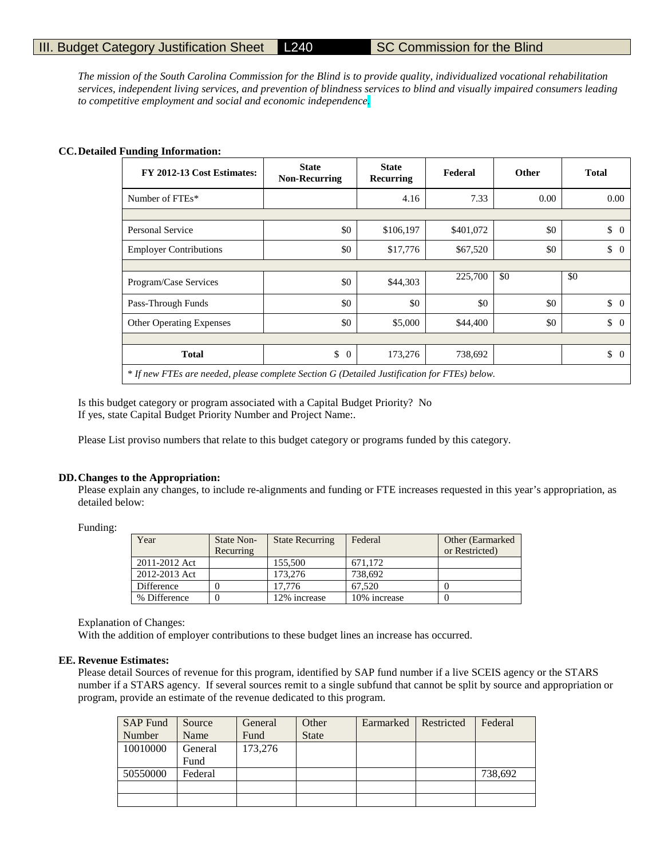*The mission of the South Carolina Commission for the Blind is to provide quality, individualized vocational rehabilitation services, independent living services, and prevention of blindness services to blind and visually impaired consumers leading to competitive employment and social and economic independence.*

## **CC.Detailed Funding Information:**

| FY 2012-13 Cost Estimates:                                                                   | <b>State</b><br><b>Non-Recurring</b> | <b>State</b><br><b>Recurring</b> | Federal   | Other | <b>Total</b>         |
|----------------------------------------------------------------------------------------------|--------------------------------------|----------------------------------|-----------|-------|----------------------|
| Number of FTEs*                                                                              |                                      | 4.16                             | 7.33      | 0.00  | 0.00                 |
|                                                                                              |                                      |                                  |           |       |                      |
| Personal Service                                                                             | \$0                                  | \$106,197                        | \$401,072 | \$0   | \$<br>$\Omega$       |
| <b>Employer Contributions</b>                                                                | \$0                                  | \$17,776                         | \$67,520  | \$0   | \$<br>$\overline{0}$ |
|                                                                                              |                                      |                                  |           |       |                      |
| Program/Case Services                                                                        | \$0                                  | \$44,303                         | 225,700   | \$0   | \$0                  |
| Pass-Through Funds                                                                           | \$0                                  | \$0                              | \$0       | \$0   | $\updownarrow$ 0     |
| <b>Other Operating Expenses</b>                                                              | \$0                                  | \$5,000                          | \$44,400  | \$0   | \$<br>$\theta$       |
|                                                                                              |                                      |                                  |           |       |                      |
| <b>Total</b>                                                                                 | \$<br>$\theta$                       | 173,276                          | 738,692   |       | \$<br>$\Omega$       |
| * If new FTEs are needed, please complete Section G (Detailed Justification for FTEs) below. |                                      |                                  |           |       |                      |

Is this budget category or program associated with a Capital Budget Priority? No If yes, state Capital Budget Priority Number and Project Name:.

Please List proviso numbers that relate to this budget category or programs funded by this category.

#### **DD.Changes to the Appropriation:**

Please explain any changes, to include re-alignments and funding or FTE increases requested in this year's appropriation, as detailed below:

Funding:

| Year          | <b>State Non-</b> | <b>State Recurring</b> | Federal      | Other (Earmarked) |
|---------------|-------------------|------------------------|--------------|-------------------|
|               | Recurring         |                        |              | or Restricted)    |
| 2011-2012 Act |                   | 155.500                | 671.172      |                   |
| 2012-2013 Act |                   | 173.276                | 738,692      |                   |
| Difference    |                   | 17.776                 | 67.520       |                   |
| % Difference  |                   | 12% increase           | 10% increase |                   |

Explanation of Changes:

With the addition of employer contributions to these budget lines an increase has occurred.

## **EE. Revenue Estimates:**

Please detail Sources of revenue for this program, identified by SAP fund number if a live SCEIS agency or the STARS number if a STARS agency. If several sources remit to a single subfund that cannot be split by source and appropriation or program, provide an estimate of the revenue dedicated to this program.

| <b>SAP Fund</b> | Source  | General | Other        | Earmarked | Restricted | Federal |
|-----------------|---------|---------|--------------|-----------|------------|---------|
| Number          | Name    | Fund    | <b>State</b> |           |            |         |
| 10010000        | General | 173,276 |              |           |            |         |
|                 | Fund    |         |              |           |            |         |
| 50550000        | Federal |         |              |           |            | 738,692 |
|                 |         |         |              |           |            |         |
|                 |         |         |              |           |            |         |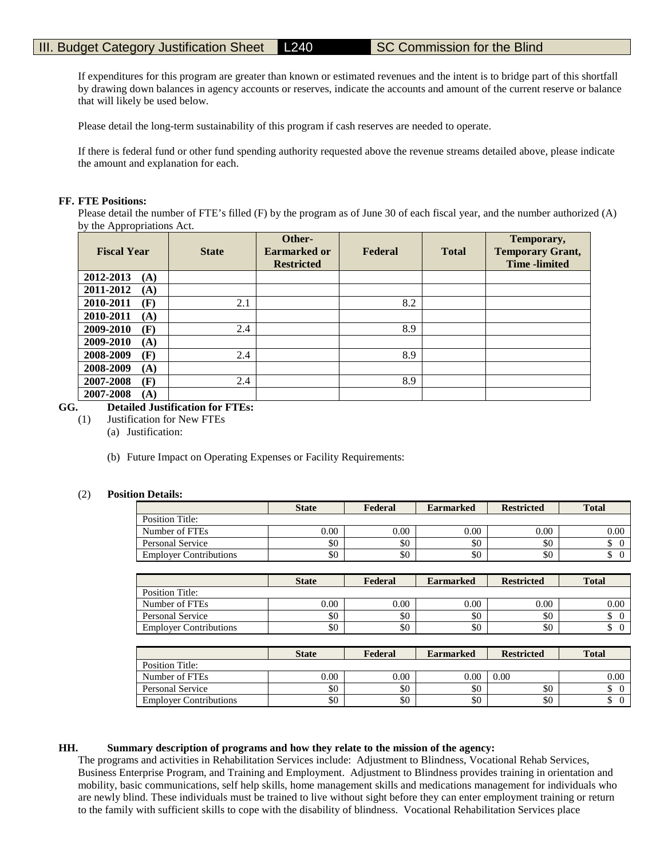If expenditures for this program are greater than known or estimated revenues and the intent is to bridge part of this shortfall by drawing down balances in agency accounts or reserves, indicate the accounts and amount of the current reserve or balance that will likely be used below.

Please detail the long-term sustainability of this program if cash reserves are needed to operate.

If there is federal fund or other fund spending authority requested above the revenue streams detailed above, please indicate the amount and explanation for each.

## **FF. FTE Positions:**

Please detail the number of FTE's filled (F) by the program as of June 30 of each fiscal year, and the number authorized (A) by the Appropriations Act.

| <b>Fiscal Year</b> | <b>State</b> | Other-<br><b>Earmarked or</b><br><b>Restricted</b> | Federal | <b>Total</b> | Temporary,<br><b>Temporary Grant,</b><br><b>Time</b> -limited |
|--------------------|--------------|----------------------------------------------------|---------|--------------|---------------------------------------------------------------|
| 2012-2013<br>(A)   |              |                                                    |         |              |                                                               |
| 2011-2012<br>(A)   |              |                                                    |         |              |                                                               |
| 2010-2011<br>(F)   | 2.1          |                                                    | 8.2     |              |                                                               |
| 2010-2011<br>(A)   |              |                                                    |         |              |                                                               |
| 2009-2010<br>(F)   | 2.4          |                                                    | 8.9     |              |                                                               |
| 2009-2010<br>(A)   |              |                                                    |         |              |                                                               |
| 2008-2009<br>(F)   | 2.4          |                                                    | 8.9     |              |                                                               |
| 2008-2009<br>(A)   |              |                                                    |         |              |                                                               |
| 2007-2008<br>(F)   | 2.4          |                                                    | 8.9     |              |                                                               |
| 2007-2008<br>(A)   |              |                                                    |         |              |                                                               |

# **GG. Detailed Justification for FTEs:**

- (1) Justification for New FTEs
	- (a) Justification:
	- (b) Future Impact on Operating Expenses or Facility Requirements:

## (2) **Position Details:**

|                               | <b>State</b> | Federal | <b>Earmarked</b> | <b>Restricted</b> | <b>Total</b> |
|-------------------------------|--------------|---------|------------------|-------------------|--------------|
| Position Title:               |              |         |                  |                   |              |
| Number of FTEs                | 0.00         | 0.00    | 0.00             | 0.00              | 0.00         |
| Personal Service              | \$0          | \$0     | \$0              | \$0               |              |
| <b>Employer Contributions</b> | \$0          | \$0     | \$0              | \$0               | ╜            |

|                               | <b>State</b> | Federal  | <b>Earmarked</b> | <b>Restricted</b> | <b>Total</b> |
|-------------------------------|--------------|----------|------------------|-------------------|--------------|
| Position Title:               |              |          |                  |                   |              |
| Number of FTEs                | 0.00         | $0.00\,$ | 0.00             | 0.00              | 0.00         |
| Personal Service              | \$0          | \$0      | \$0              | \$0               |              |
| <b>Employer Contributions</b> | \$0          | \$0      | \$0              | \$0               |              |

|                               | <b>State</b> | Federal | <b>Earmarked</b> | <b>Restricted</b> | <b>Total</b> |
|-------------------------------|--------------|---------|------------------|-------------------|--------------|
| Position Title:               |              |         |                  |                   |              |
| Number of FTEs                | $0.00\,$     | 0.00    | $0.00\,$         | 0.00              | 0.00         |
| Personal Service              | \$0          | \$0     | \$0              | \$0               | Φ            |
| <b>Employer Contributions</b> | \$0          | \$0     | \$0              | \$0               | ╜            |

## **HH. Summary description of programs and how they relate to the mission of the agency:**

The programs and activities in Rehabilitation Services include: Adjustment to Blindness, Vocational Rehab Services, Business Enterprise Program, and Training and Employment. Adjustment to Blindness provides training in orientation and mobility, basic communications, self help skills, home management skills and medications management for individuals who are newly blind. These individuals must be trained to live without sight before they can enter employment training or return to the family with sufficient skills to cope with the disability of blindness. Vocational Rehabilitation Services place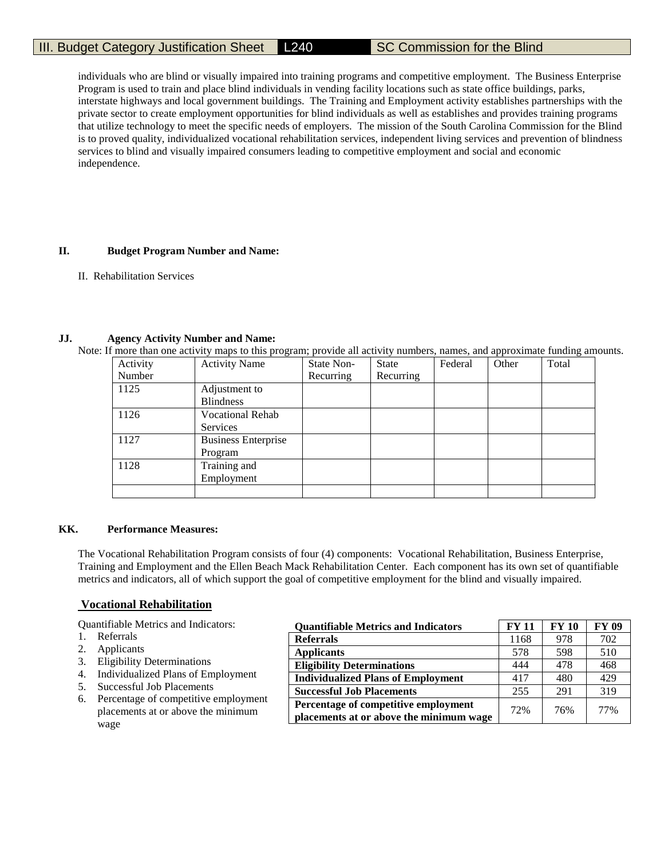individuals who are blind or visually impaired into training programs and competitive employment. The Business Enterprise Program is used to train and place blind individuals in vending facility locations such as state office buildings, parks, interstate highways and local government buildings. The Training and Employment activity establishes partnerships with the private sector to create employment opportunities for blind individuals as well as establishes and provides training programs that utilize technology to meet the specific needs of employers. The mission of the South Carolina Commission for the Blind is to proved quality, individualized vocational rehabilitation services, independent living services and prevention of blindness services to blind and visually impaired consumers leading to competitive employment and social and economic independence.

# **II. Budget Program Number and Name:**

II. Rehabilitation Services

## **JJ. Agency Activity Number and Name:**

Note: If more than one activity maps to this program; provide all activity numbers, names, and approximate funding amounts.

| Activity | $\circ$<br><b>Activity Name</b> | State Non- | <b>State</b> | Federal | Other | $\circ$<br>Total |
|----------|---------------------------------|------------|--------------|---------|-------|------------------|
| Number   |                                 | Recurring  | Recurring    |         |       |                  |
| 1125     | Adjustment to                   |            |              |         |       |                  |
|          | <b>Blindness</b>                |            |              |         |       |                  |
| 1126     | <b>Vocational Rehab</b>         |            |              |         |       |                  |
|          | Services                        |            |              |         |       |                  |
| 1127     | <b>Business Enterprise</b>      |            |              |         |       |                  |
|          | Program                         |            |              |         |       |                  |
| 1128     | Training and                    |            |              |         |       |                  |
|          | Employment                      |            |              |         |       |                  |
|          |                                 |            |              |         |       |                  |

## **KK. Performance Measures:**

The Vocational Rehabilitation Program consists of four (4) components: Vocational Rehabilitation, Business Enterprise, Training and Employment and the Ellen Beach Mack Rehabilitation Center. Each component has its own set of quantifiable metrics and indicators, all of which support the goal of competitive employment for the blind and visually impaired.

## **Vocational Rehabilitation**

Quantifiable Metrics and Indicators:

- 1. Referrals
- 2. Applicants
- 3. Eligibility Determinations
- 4. Individualized Plans of Employment
- 5. Successful Job Placements
- 6. Percentage of competitive employment placements at or above the minimum wage

| <b>Quantifiable Metrics and Indicators</b> | <b>FY 11</b> | <b>FY 10</b> | FY 09 |
|--------------------------------------------|--------------|--------------|-------|
| <b>Referrals</b>                           | 1168         | 978          | 702   |
| <b>Applicants</b>                          | 578          | 598          | 510   |
| <b>Eligibility Determinations</b>          | 444          | 478          | 468   |
| <b>Individualized Plans of Employment</b>  | 417          | 480          | 429   |
| <b>Successful Job Placements</b>           | 255          | 291          | 319   |
| Percentage of competitive employment       | 72%          | 76%          | 77%   |
| placements at or above the minimum wage    |              |              |       |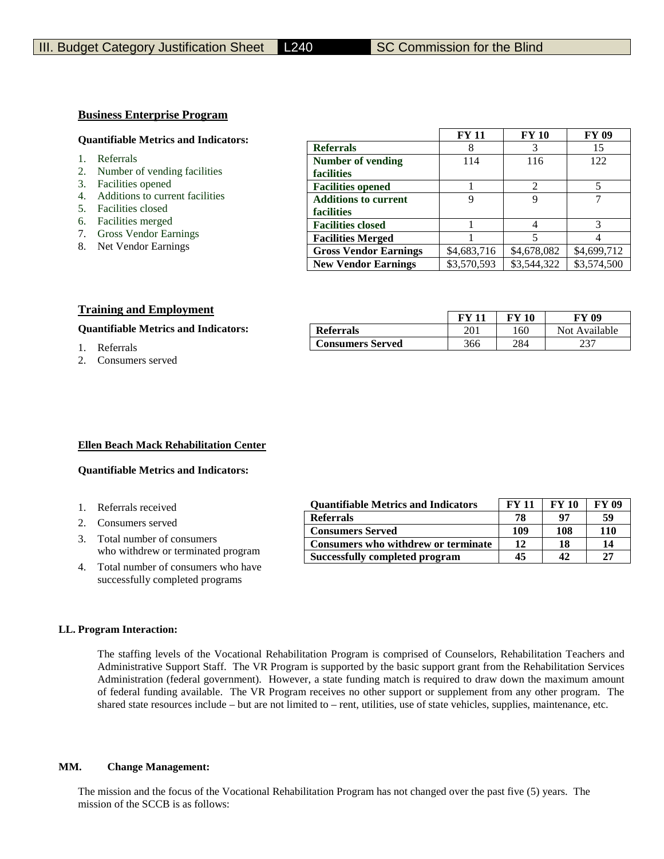## **Business Enterprise Program**

#### **Quantifiable Metrics and Indicators:**

- 1. Referrals
- 2. Number of vending facilities
- 3. Facilities opened
- 4. Additions to current facilities
- 5. Facilities closed
- 6. Facilities merged
- 7. Gross Vendor Earnings
- 8. Net Vendor Earnings

|                              | <b>FY 11</b> | <b>FY 10</b>                | <b>FY 09</b> |
|------------------------------|--------------|-----------------------------|--------------|
| <b>Referrals</b>             | 8            |                             | 15           |
| <b>Number of vending</b>     | 114          | 116                         | 122          |
| facilities                   |              |                             |              |
| <b>Facilities opened</b>     |              | $\mathcal{D}_{\mathcal{L}}$ |              |
| <b>Additions to current</b>  | 9            | Q                           |              |
| facilities                   |              |                             |              |
| <b>Facilities closed</b>     |              |                             |              |
| <b>Facilities Merged</b>     |              |                             |              |
| <b>Gross Vendor Earnings</b> | \$4,683,716  | \$4,678,082                 | \$4,699,712  |
| <b>New Vendor Earnings</b>   | \$3,570,593  | \$3,544,322                 | \$3,574,500  |

## **Training and Employment**

|                                             |                  |     | -10 | - 117         |
|---------------------------------------------|------------------|-----|-----|---------------|
| <b>Quantifiable Metrics and Indicators:</b> | <b>Referrals</b> | 201 | 160 | Not Available |
| Referrals                                   | Consumers Served | 366 | 284 | ົາ            |

2. Consumers served

| <b>Referrals</b>        |     | 160 | Not Availab |
|-------------------------|-----|-----|-------------|
| <b>Consumers Served</b> | 366 | 284 | 127         |
|                         |     |     |             |

**FY 11 FY 10 FY 09**

### **Ellen Beach Mack Rehabilitation Center**

## **Quantifiable Metrics and Indicators:**

- 1. Referrals received
- 2. Consumers served
- 3. Total number of consumers who withdrew or terminated program
- 4. Total number of consumers who have successfully completed programs

| <b>Ouantifiable Metrics and Indicators</b> | <b>FY 11</b> | <b>FY 10</b> | <b>FY 09</b> |
|--------------------------------------------|--------------|--------------|--------------|
| <b>Referrals</b>                           | 78           | 07           | 59           |
| <b>Consumers Served</b>                    | 109          | 108          | 110          |
| Consumers who withdrew or terminate        | 12           | 18           | 14           |
| Successfully completed program             | 45           | 42           | 27           |

#### **LL. Program Interaction:**

The staffing levels of the Vocational Rehabilitation Program is comprised of Counselors, Rehabilitation Teachers and Administrative Support Staff. The VR Program is supported by the basic support grant from the Rehabilitation Services Administration (federal government). However, a state funding match is required to draw down the maximum amount of federal funding available. The VR Program receives no other support or supplement from any other program. The shared state resources include – but are not limited to – rent, utilities, use of state vehicles, supplies, maintenance, etc.

#### **MM. Change Management:**

The mission and the focus of the Vocational Rehabilitation Program has not changed over the past five (5) years. The mission of the SCCB is as follows: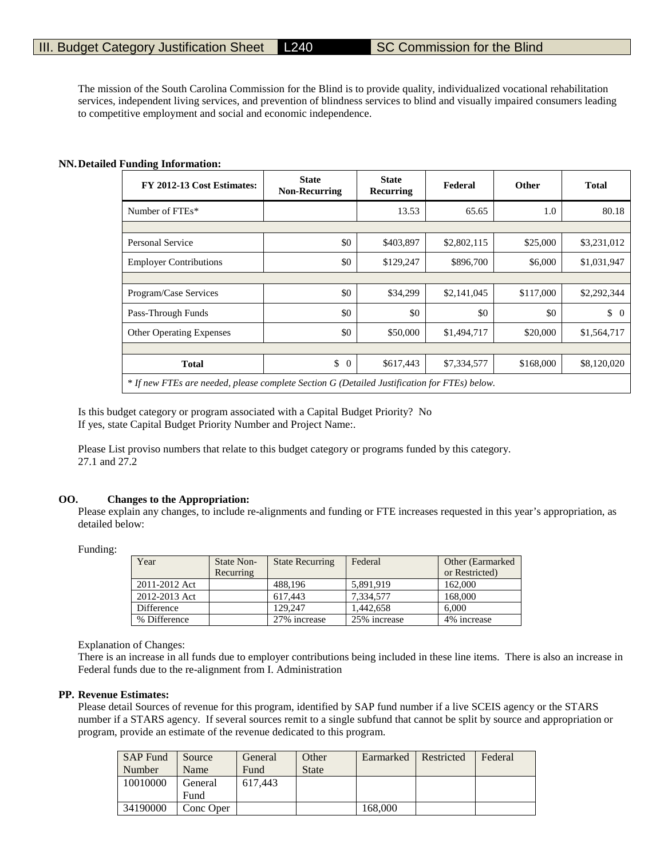The mission of the South Carolina Commission for the Blind is to provide quality, individualized vocational rehabilitation services, independent living services, and prevention of blindness services to blind and visually impaired consumers leading to competitive employment and social and economic independence.

## **NN.Detailed Funding Information:**

| FY 2012-13 Cost Estimates:                                                                   | <b>State</b><br><b>Non-Recurring</b> | <b>State</b><br>Recurring | Federal     | <b>Other</b> | <b>Total</b>   |  |  |
|----------------------------------------------------------------------------------------------|--------------------------------------|---------------------------|-------------|--------------|----------------|--|--|
| Number of FTEs*                                                                              |                                      | 13.53                     | 65.65       | 1.0          | 80.18          |  |  |
|                                                                                              |                                      |                           |             |              |                |  |  |
| <b>Personal Service</b>                                                                      | \$0                                  | \$403,897                 | \$2,802,115 | \$25,000     | \$3,231,012    |  |  |
| <b>Employer Contributions</b>                                                                | \$0                                  | \$129,247                 | \$896,700   | \$6,000      | \$1,031,947    |  |  |
|                                                                                              |                                      |                           |             |              |                |  |  |
| Program/Case Services                                                                        | \$0                                  | \$34,299                  | \$2,141,045 | \$117,000    | \$2,292,344    |  |  |
| Pass-Through Funds                                                                           | \$0                                  | \$0                       | \$0         | \$0          | \$<br>$\Omega$ |  |  |
| <b>Other Operating Expenses</b>                                                              | \$0                                  | \$50,000                  | \$1,494,717 | \$20,000     | \$1,564,717    |  |  |
|                                                                                              |                                      |                           |             |              |                |  |  |
| <b>Total</b>                                                                                 | \$<br>$\overline{0}$                 | \$617,443                 | \$7,334,577 | \$168,000    | \$8,120,020    |  |  |
| * If new FTEs are needed, please complete Section G (Detailed Justification for FTEs) below. |                                      |                           |             |              |                |  |  |

Is this budget category or program associated with a Capital Budget Priority? No If yes, state Capital Budget Priority Number and Project Name:.

Please List proviso numbers that relate to this budget category or programs funded by this category. 27.1 and 27.2

#### **OO. Changes to the Appropriation:**

Please explain any changes, to include re-alignments and funding or FTE increases requested in this year's appropriation, as detailed below:

Funding:

| Year          | State Non- | <b>State Recurring</b> | Federal      | Other (Earmarked) |
|---------------|------------|------------------------|--------------|-------------------|
|               | Recurring  |                        |              | or Restricted)    |
| 2011-2012 Act |            | 488.196                | 5.891.919    | 162,000           |
| 2012-2013 Act |            | 617.443                | 7.334.577    | 168,000           |
| Difference    |            | 129.247                | 1.442.658    | 6.000             |
| % Difference  |            | 27% increase           | 25% increase | 4% increase       |

Explanation of Changes:

There is an increase in all funds due to employer contributions being included in these line items. There is also an increase in Federal funds due to the re-alignment from I. Administration

## **PP. Revenue Estimates:**

Please detail Sources of revenue for this program, identified by SAP fund number if a live SCEIS agency or the STARS number if a STARS agency. If several sources remit to a single subfund that cannot be split by source and appropriation or program, provide an estimate of the revenue dedicated to this program.

| <b>SAP Fund</b> | Source    | General | Other        | Earmarked | Restricted | Federal |
|-----------------|-----------|---------|--------------|-----------|------------|---------|
| Number          | Name      | Fund    | <b>State</b> |           |            |         |
| 10010000        | General   | 617.443 |              |           |            |         |
|                 | Fund      |         |              |           |            |         |
| 34190000        | Conc Oper |         |              | 168.000   |            |         |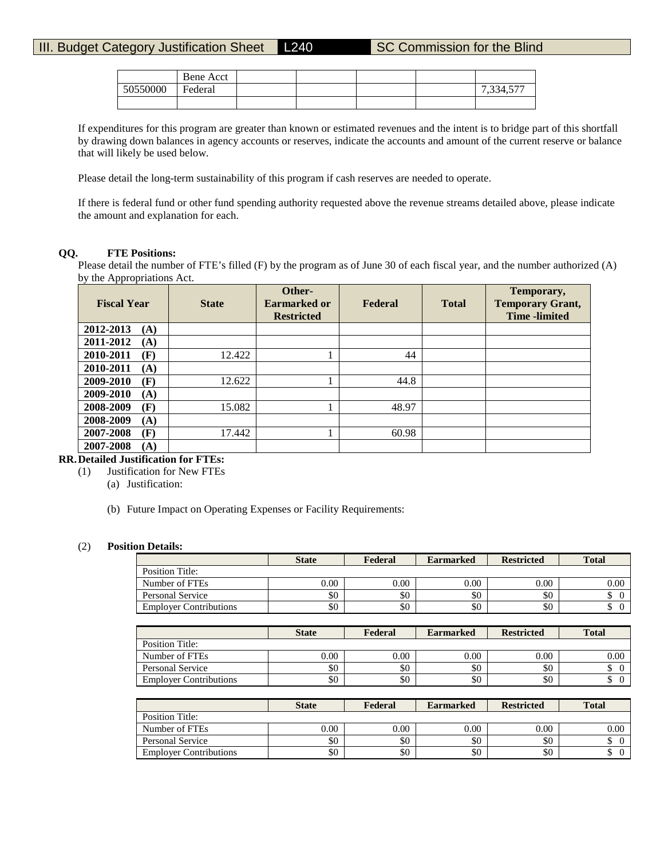|          | Bene Acct |  |  |           |
|----------|-----------|--|--|-----------|
| 50550000 | Federal   |  |  | 7,334,577 |
|          |           |  |  |           |

If expenditures for this program are greater than known or estimated revenues and the intent is to bridge part of this shortfall by drawing down balances in agency accounts or reserves, indicate the accounts and amount of the current reserve or balance that will likely be used below.

Please detail the long-term sustainability of this program if cash reserves are needed to operate.

If there is federal fund or other fund spending authority requested above the revenue streams detailed above, please indicate the amount and explanation for each.

## **QQ. FTE Positions:**

Please detail the number of FTE's filled (F) by the program as of June 30 of each fiscal year, and the number authorized (A) by the Appropriations Act.

| $\mathbf{1}$<br><b>Fiscal Year</b> | <b>State</b> | Other-<br>Earmarked or<br><b>Restricted</b> | Federal | <b>Total</b> | Temporary,<br><b>Temporary Grant,</b><br><b>Time</b> -limited |
|------------------------------------|--------------|---------------------------------------------|---------|--------------|---------------------------------------------------------------|
| 2012-2013<br>(A)                   |              |                                             |         |              |                                                               |
| 2011-2012<br>(A)                   |              |                                             |         |              |                                                               |
| (F)<br>2010-2011                   | 12.422       |                                             | 44      |              |                                                               |
| 2010-2011<br>(A)                   |              |                                             |         |              |                                                               |
| 2009-2010<br>(F)                   | 12.622       |                                             | 44.8    |              |                                                               |
| 2009-2010<br>(A)                   |              |                                             |         |              |                                                               |
| 2008-2009<br>(F)                   | 15.082       |                                             | 48.97   |              |                                                               |
| 2008-2009<br>(A)                   |              |                                             |         |              |                                                               |
| 2007-2008<br>(F)                   | 17.442       |                                             | 60.98   |              |                                                               |
| 2007-2008<br>(A)                   |              |                                             |         |              |                                                               |

# **RR.Detailed Justification for FTEs:**

- (1) Justification for New FTEs
	- (a) Justification:
	- (b) Future Impact on Operating Expenses or Facility Requirements:

## (2) **Position Details:**

|                               | <b>State</b> | Federal | <b>Earmarked</b> | <b>Restricted</b> | <b>Total</b> |
|-------------------------------|--------------|---------|------------------|-------------------|--------------|
| Position Title:               |              |         |                  |                   |              |
| Number of FTEs                | 0.00         | 0.00    | 0.00             | 0.00              | 0.00         |
| Personal Service              | \$0          | \$0     | \$0              | \$0               | J            |
| <b>Employer Contributions</b> | \$0          | \$0     | \$0              | \$0               | ◡            |

|                               | <b>State</b> | Federal | <b>Earmarked</b> | <b>Restricted</b> | <b>Total</b> |
|-------------------------------|--------------|---------|------------------|-------------------|--------------|
| Position Title:               |              |         |                  |                   |              |
| Number of FTEs                | 0.00         | 0.00    | 0.00             | 0.00              | 0.00         |
| Personal Service              | \$0          | \$0     | \$0              | \$0               | D            |
| <b>Employer Contributions</b> | \$0          | \$0     | \$0              | \$0               | ◡            |

|                               | <b>State</b> | Federal  | <b>Earmarked</b> | <b>Restricted</b> | <b>Total</b> |
|-------------------------------|--------------|----------|------------------|-------------------|--------------|
| Position Title:               |              |          |                  |                   |              |
| Number of FTEs                | $0.00\,$     | $0.00\,$ | 0.00             | $0.00\,$          | 0.00         |
| Personal Service              | \$0          | \$0      | \$0              | \$0               | J            |
| <b>Employer Contributions</b> | \$0          | \$0      | \$0              | \$0               | Φ            |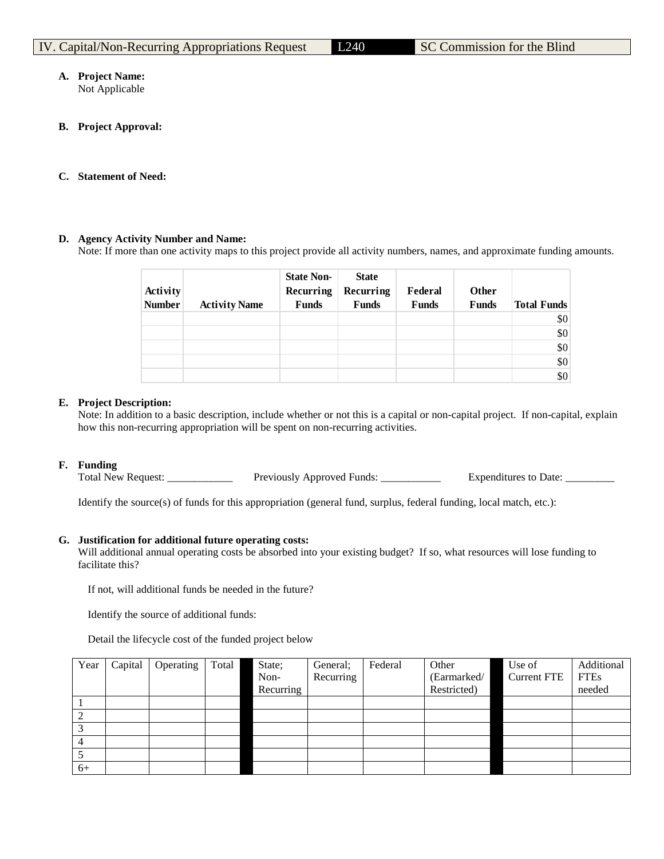# **A. Project Name:**

Not Applicable

**B. Project Approval:**

# **C. Statement of Need:**

# **D. Agency Activity Number and Name:**

Note: If more than one activity maps to this project provide all activity numbers, names, and approximate funding amounts.

|               |                      | <b>State Non-</b> | <b>State</b> |              |              |                    |
|---------------|----------------------|-------------------|--------------|--------------|--------------|--------------------|
| Activity      |                      | Recurring         | Recurring    | Federal      | Other        |                    |
| <b>Number</b> | <b>Activity Name</b> | <b>Funds</b>      | <b>Funds</b> | <b>Funds</b> | <b>Funds</b> | <b>Total Funds</b> |
|               |                      |                   |              |              |              | \$0                |
|               |                      |                   |              |              |              | \$0                |
|               |                      |                   |              |              |              | \$0                |
|               |                      |                   |              |              |              | \$0                |
|               |                      |                   |              |              |              | \$0                |

# **E. Project Description:**

Note: In addition to a basic description, include whether or not this is a capital or non-capital project. If non-capital, explain how this non-recurring appropriation will be spent on non-recurring activities.

# **F. Funding**

Total New Request: \_\_\_\_\_\_\_\_\_\_\_\_\_\_\_ Previously Approved Funds: \_\_\_\_\_\_\_\_\_\_\_\_\_\_\_\_\_\_ Expenditures to Date: \_\_\_\_\_\_\_

Identify the source(s) of funds for this appropriation (general fund, surplus, federal funding, local match, etc.):

# **G. Justification for additional future operating costs:**

Will additional annual operating costs be absorbed into your existing budget? If so, what resources will lose funding to facilitate this?

If not, will additional funds be needed in the future?

Identify the source of additional funds:

Detail the lifecycle cost of the funded project below

| Year | Capital | Operating | Total | State;    | General:  | Federal | Other       | Use of             | Additional  |
|------|---------|-----------|-------|-----------|-----------|---------|-------------|--------------------|-------------|
|      |         |           |       | Non-      | Recurring |         | (Earmarked/ | <b>Current FTE</b> | <b>FTEs</b> |
|      |         |           |       | Recurring |           |         | Restricted) |                    | needed      |
|      |         |           |       |           |           |         |             |                    |             |
|      |         |           |       |           |           |         |             |                    |             |
|      |         |           |       |           |           |         |             |                    |             |
|      |         |           |       |           |           |         |             |                    |             |
|      |         |           |       |           |           |         |             |                    |             |
| $6+$ |         |           |       |           |           |         |             |                    |             |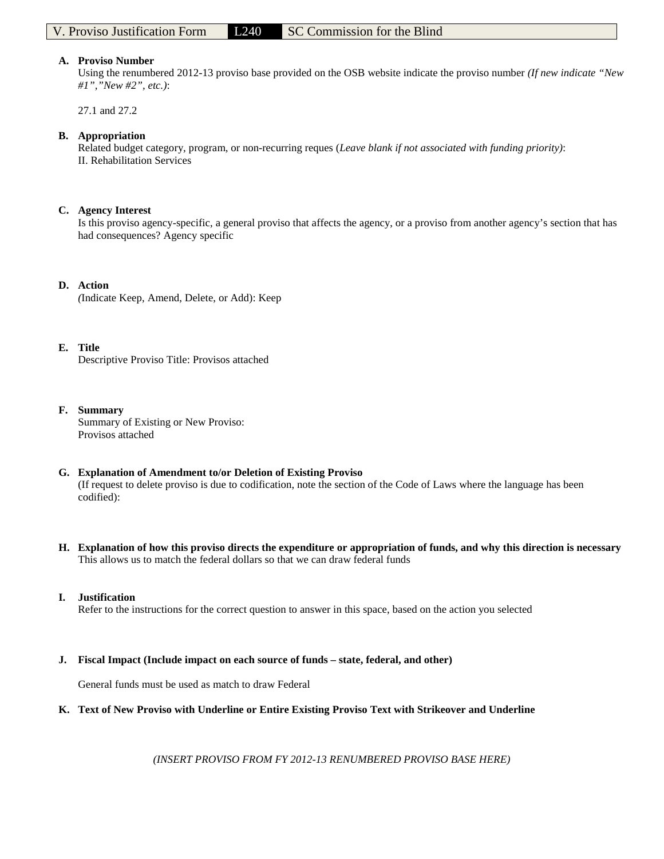## **A. Proviso Number**

Using the renumbered 2012-13 proviso base provided on the OSB website indicate the proviso number *(If new indicate "New #1","New #2", etc.)*:

27.1 and 27.2

## **B. Appropriation**

Related budget category, program, or non-recurring reques (*Leave blank if not associated with funding priority)*: II. Rehabilitation Services

## **C. Agency Interest**

Is this proviso agency-specific, a general proviso that affects the agency, or a proviso from another agency's section that has had consequences? Agency specific

## **D. Action**

*(*Indicate Keep, Amend, Delete, or Add): Keep

# **E. Title**

Descriptive Proviso Title: Provisos attached

## **F. Summary**

Summary of Existing or New Proviso: Provisos attached

# **G. Explanation of Amendment to/or Deletion of Existing Proviso**

(If request to delete proviso is due to codification, note the section of the Code of Laws where the language has been codified):

**H. Explanation of how this proviso directs the expenditure or appropriation of funds, and why this direction is necessary** This allows us to match the federal dollars so that we can draw federal funds

## **I. Justification**

Refer to the instructions for the correct question to answer in this space, based on the action you selected

# **J. Fiscal Impact (Include impact on each source of funds – state, federal, and other)**

General funds must be used as match to draw Federal

## **K. Text of New Proviso with Underline or Entire Existing Proviso Text with Strikeover and Underline**

*(INSERT PROVISO FROM FY 2012-13 RENUMBERED PROVISO BASE HERE)*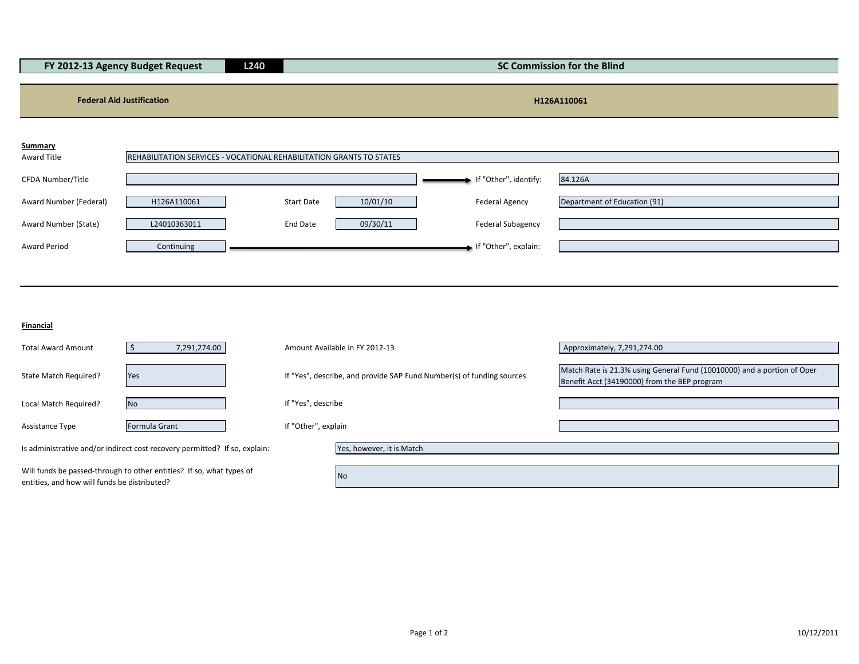|                        | FY 2012-13 Agency Budget Request                                     | L240<br><b>SC Commission for the Blind</b> |          |                          |                              |
|------------------------|----------------------------------------------------------------------|--------------------------------------------|----------|--------------------------|------------------------------|
|                        |                                                                      |                                            |          |                          |                              |
|                        | <b>Federal Aid Justification</b>                                     |                                            |          |                          | H126A110061                  |
| <b>Summary</b>         |                                                                      |                                            |          |                          |                              |
| Award Title            | REHABILITATION SERVICES - VOCATIONAL REHABILITATION GRANTS TO STATES |                                            |          |                          |                              |
| CFDA Number/Title      |                                                                      |                                            |          | If "Other", identify:    | 84.126A                      |
| Award Number (Federal) | H126A110061                                                          | <b>Start Date</b>                          | 10/01/10 | <b>Federal Agency</b>    | Department of Education (91) |
| Award Number (State)   | L24010363011                                                         | <b>End Date</b>                            | 09/30/11 | <b>Federal Subagency</b> |                              |
| <b>Award Period</b>    | Continuing                                                           |                                            |          | If "Other", explain:     |                              |

**Financial**

| <b>Total Award Amount</b>                                                                                            | 7,291,274.00                                                               |                     | Amount Available in FY 2012-13                                        | Approximately, 7,291,274.00                                                                                             |
|----------------------------------------------------------------------------------------------------------------------|----------------------------------------------------------------------------|---------------------|-----------------------------------------------------------------------|-------------------------------------------------------------------------------------------------------------------------|
| State Match Required?                                                                                                | Yes                                                                        |                     | If "Yes", describe, and provide SAP Fund Number(s) of funding sources | Match Rate is 21.3% using General Fund (10010000) and a portion of Oper<br>Benefit Acct (34190000) from the BEP program |
| Local Match Required?                                                                                                | <b>No</b>                                                                  | If "Yes", describe  |                                                                       |                                                                                                                         |
| <b>Assistance Type</b>                                                                                               | Formula Grant                                                              | If "Other", explain |                                                                       |                                                                                                                         |
|                                                                                                                      | Is administrative and/or indirect cost recovery permitted? If so, explain: |                     | Yes, however, it is Match                                             |                                                                                                                         |
| Will funds be passed-through to other entities? If so, what types of<br>entities, and how will funds be distributed? |                                                                            |                     | <b>No</b>                                                             |                                                                                                                         |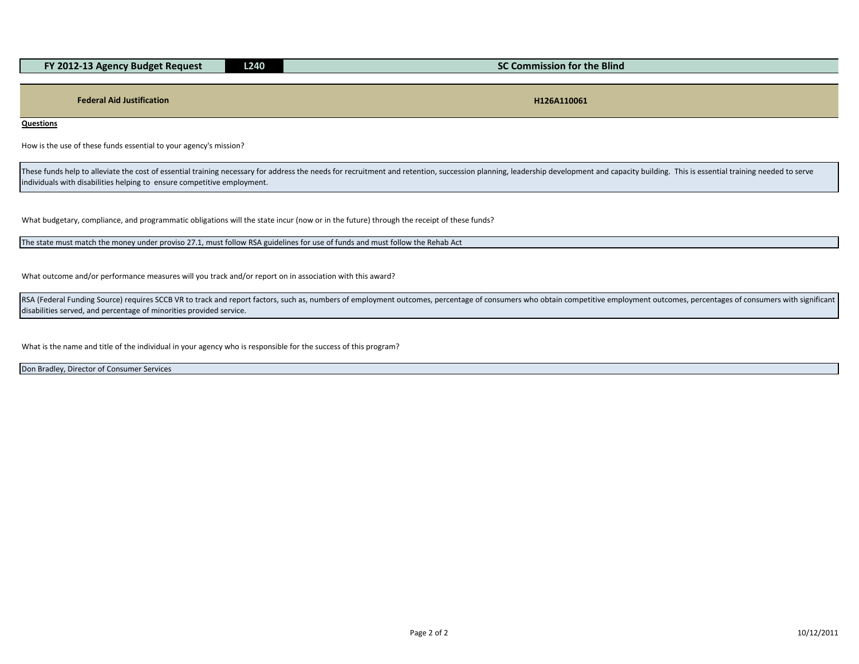| FY 2012-13 Agency Budget Request | L240. | SC Commission for the Blind |
|----------------------------------|-------|-----------------------------|
|                                  |       |                             |
|                                  |       |                             |
| <b>Federal Aid Justification</b> |       | H126A110061                 |

**Questions**

How is the use of these funds essential to your agency's mission?

These funds help to alleviate the cost of essential training necessary for address the needs for recruitment and retention, succession planning, leadership development and capacity building. This is essential training need individuals with disabilities helping to ensure competitive employment.

What budgetary, compliance, and programmatic obligations will the state incur (now or in the future) through the receipt of these funds?

The state must match the money under proviso 27.1, must follow RSA guidelines for use of funds and must follow the Rehab Act

What outcome and/or performance measures will you track and/or report on in association with this award?

RSA (Federal Funding Source) requires SCCB VR to track and report factors, such as, numbers of employment outcomes, percentage of consumers who obtain competitive employment outcomes, percentages of consumers with signific disabilities served, and percentage of minorities provided service.

What is the name and title of the individual in your agency who is responsible for the success of this program?

Don Bradley, Director of Consumer Services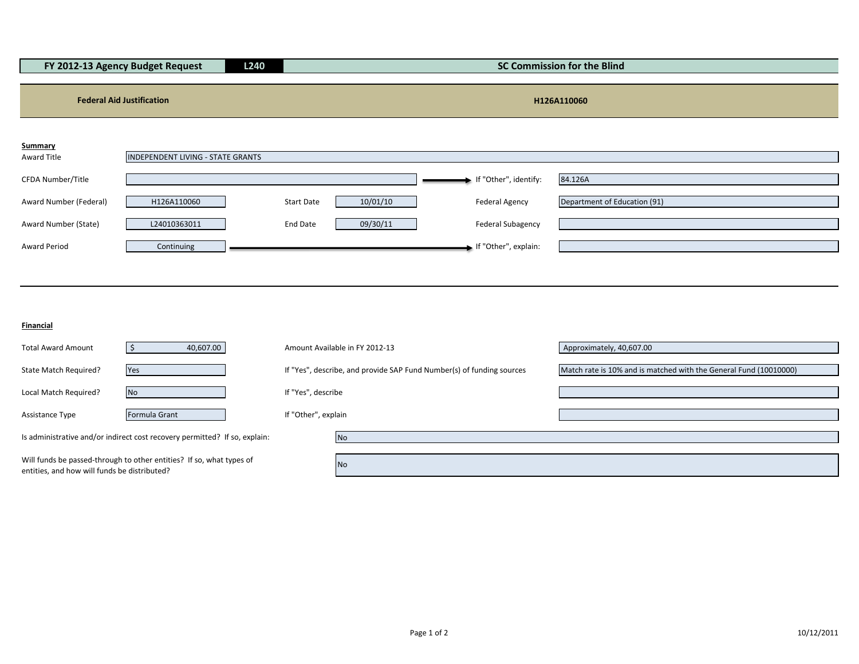| FY 2012-13 Agency Budget Request<br>L240 |                                          |  |                   | <b>SC Commission for the Blind</b> |                          |                              |
|------------------------------------------|------------------------------------------|--|-------------------|------------------------------------|--------------------------|------------------------------|
|                                          |                                          |  |                   |                                    |                          |                              |
|                                          | <b>Federal Aid Justification</b>         |  |                   |                                    |                          | H126A110060                  |
| <b>Summary</b>                           |                                          |  |                   |                                    |                          |                              |
| Award Title                              | <b>INDEPENDENT LIVING - STATE GRANTS</b> |  |                   |                                    |                          |                              |
| CFDA Number/Title                        |                                          |  |                   |                                    | If "Other", identify:    | 84.126A                      |
| Award Number (Federal)                   | H126A110060                              |  | <b>Start Date</b> | 10/01/10                           | Federal Agency           | Department of Education (91) |
| Award Number (State)                     | L24010363011                             |  | End Date          | 09/30/11                           | <b>Federal Subagency</b> |                              |
| Award Period                             | Continuing                               |  |                   |                                    | If "Other", explain:     |                              |
|                                          |                                          |  |                   |                                    |                          |                              |

**Financial**

| <b>Total Award Amount</b>                    | 40,607.00                                                                  | Amount Available in FY 2012-13                                        | Approximately, 40,607.00                                          |
|----------------------------------------------|----------------------------------------------------------------------------|-----------------------------------------------------------------------|-------------------------------------------------------------------|
| State Match Required?                        | Yes                                                                        | If "Yes", describe, and provide SAP Fund Number(s) of funding sources | Match rate is 10% and is matched with the General Fund (10010000) |
|                                              |                                                                            |                                                                       |                                                                   |
| Local Match Required?                        | <b>No</b>                                                                  | If "Yes", describe                                                    |                                                                   |
| Assistance Type                              | Formula Grant                                                              | If "Other", explain                                                   |                                                                   |
|                                              | Is administrative and/or indirect cost recovery permitted? If so, explain: | <b>No</b>                                                             |                                                                   |
| entities, and how will funds be distributed? | Will funds be passed-through to other entities? If so, what types of       | <b>No</b>                                                             |                                                                   |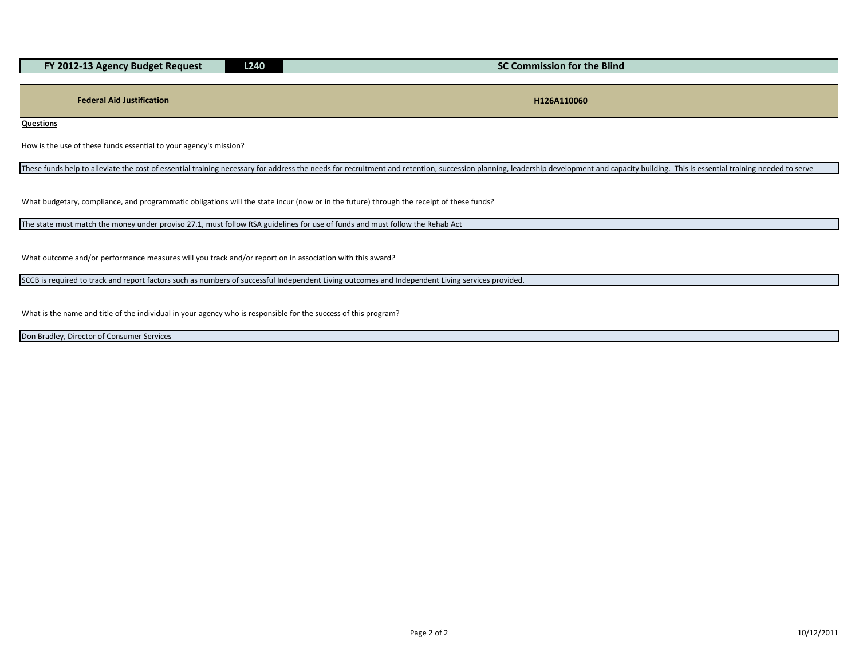| FY 2012-13 Agency Budget Request | <b>L240</b> | SC Commission for the Blind |
|----------------------------------|-------------|-----------------------------|
|                                  |             |                             |
|                                  |             |                             |
| <b>Federal Aid Justification</b> |             | H126A110060                 |

**Questions**

How is the use of these funds essential to your agency's mission?

These funds help to alleviate the cost of essential training necessary for address the needs for recruitment and retention, succession planning, leadership development and capacity building. This is essential training need

What budgetary, compliance, and programmatic obligations will the state incur (now or in the future) through the receipt of these funds?

The state must match the money under proviso 27.1, must follow RSA guidelines for use of funds and must follow the Rehab Act

What outcome and/or performance measures will you track and/or report on in association with this award?

SCCB is required to track and report factors such as numbers of successful Independent Living outcomes and Independent Living services provided.

What is the name and title of the individual in your agency who is responsible for the success of this program?

Don Bradley, Director of Consumer Services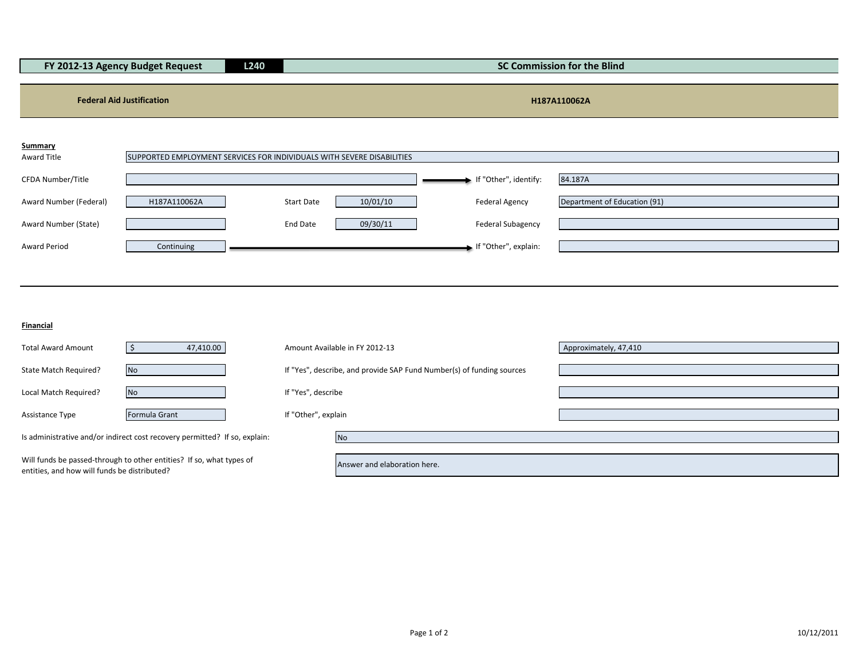| FY 2012-13 Agency Budget Request<br>L240 |                                                                        |                   |          |                          | <b>SC Commission for the Blind</b> |
|------------------------------------------|------------------------------------------------------------------------|-------------------|----------|--------------------------|------------------------------------|
| <b>Federal Aid Justification</b>         |                                                                        |                   |          |                          | H187A110062A                       |
| Summary<br>Award Title                   | SUPPORTED EMPLOYMENT SERVICES FOR INDIVIDUALS WITH SEVERE DISABILITIES |                   |          |                          |                                    |
| CFDA Number/Title                        |                                                                        |                   |          | If "Other", identify:    | 84.187A                            |
| Award Number (Federal)                   | H187A110062A                                                           | <b>Start Date</b> | 10/01/10 | <b>Federal Agency</b>    | Department of Education (91)       |
| Award Number (State)                     |                                                                        | End Date          | 09/30/11 | <b>Federal Subagency</b> |                                    |
| <b>Award Period</b>                      | Continuing                                                             |                   |          | If "Other", explain:     |                                    |

**Financial**

| <b>Total Award Amount</b>                    | 47,410.00                                                                  | Amount Available in FY 2012-13                                        | Approximately, 47,410 |
|----------------------------------------------|----------------------------------------------------------------------------|-----------------------------------------------------------------------|-----------------------|
| State Match Required?                        | <b>No</b>                                                                  | If "Yes", describe, and provide SAP Fund Number(s) of funding sources |                       |
| Local Match Required?                        | <b>No</b>                                                                  | If "Yes", describe                                                    |                       |
| Assistance Type                              | Formula Grant                                                              | If "Other", explain                                                   |                       |
|                                              | Is administrative and/or indirect cost recovery permitted? If so, explain: | Nο                                                                    |                       |
| entities, and how will funds be distributed? | Will funds be passed-through to other entities? If so, what types of       | Answer and elaboration here.                                          |                       |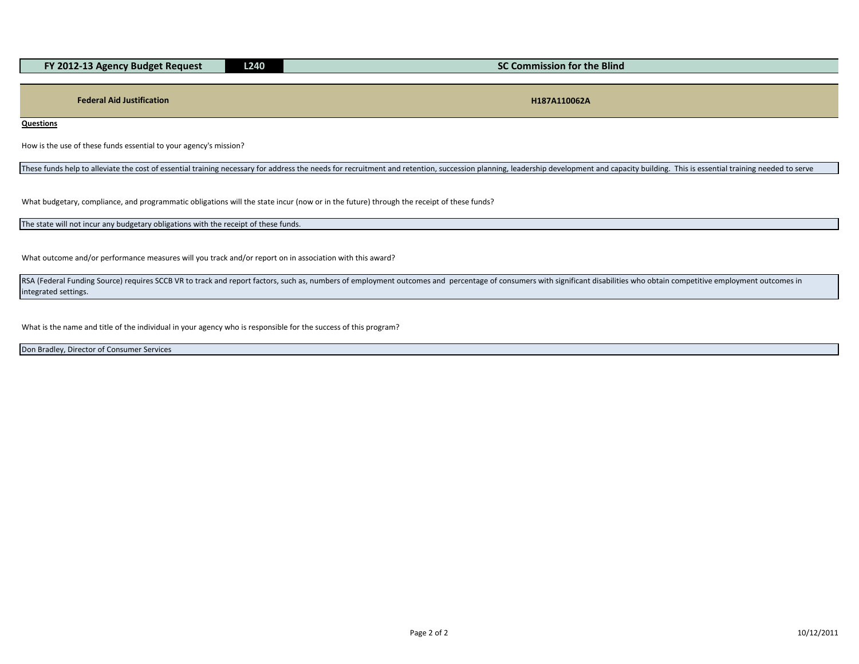| rv -<br>ומר<br>' Reauest<br>-BUDPET<br>$\sim$ 2012-13 $\sim$ | 240 <sub>1</sub><br>--- | <b>Commission for the Blind</b> |  |
|--------------------------------------------------------------|-------------------------|---------------------------------|--|
|                                                              |                         |                                 |  |

**Federal Aid Justification H187A110062A**

**Questions**

How is the use of these funds essential to your agency's mission?

These funds help to alleviate the cost of essential training necessary for address the needs for recruitment and retention, succession planning, leadership development and capacity building. This is essential training need

What budgetary, compliance, and programmatic obligations will the state incur (now or in the future) through the receipt of these funds?

The state will not incur any budgetary obligations with the receipt of these funds.

What outcome and/or performance measures will you track and/or report on in association with this award?

RSA (Federal Funding Source) requires SCCB VR to track and report factors, such as, numbers of employment outcomes and percentage of consumers with significant disabilities who obtain competitive employment outcomes in integrated settings.

What is the name and title of the individual in your agency who is responsible for the success of this program?

Don Bradley, Director of Consumer Services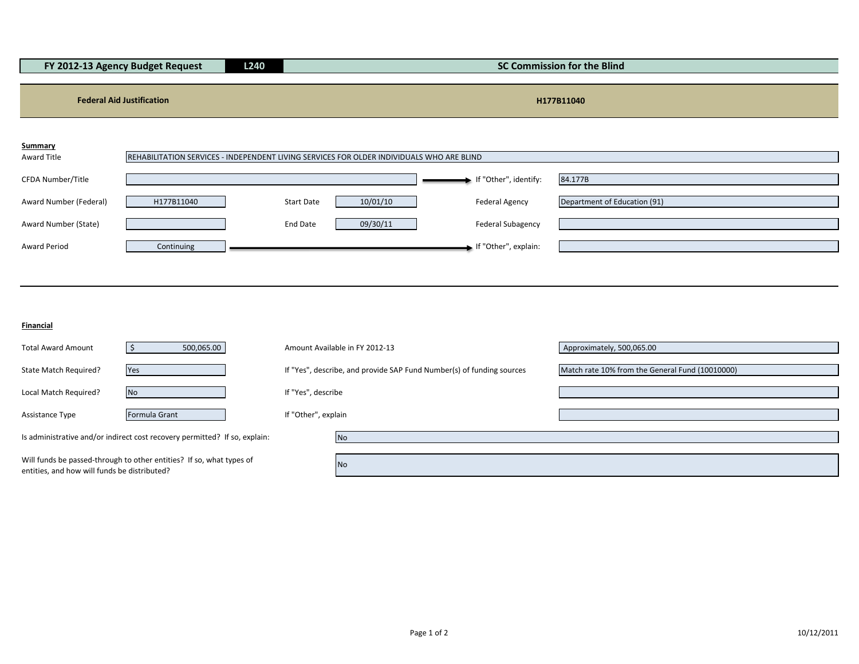| FY 2012-13 Agency Budget Request<br><b>L240</b> |                                  |                   | <b>SC Commission for the Blind</b>                                                        |                          |                              |  |
|-------------------------------------------------|----------------------------------|-------------------|-------------------------------------------------------------------------------------------|--------------------------|------------------------------|--|
|                                                 | <b>Federal Aid Justification</b> |                   |                                                                                           |                          | H177B11040                   |  |
| <b>Summary</b>                                  |                                  |                   |                                                                                           |                          |                              |  |
| Award Title                                     |                                  |                   | REHABILITATION SERVICES - INDEPENDENT LIVING SERVICES FOR OLDER INDIVIDUALS WHO ARE BLIND |                          |                              |  |
| CFDA Number/Title                               |                                  |                   |                                                                                           | If "Other", identify:    | 84.177B                      |  |
| Award Number (Federal)                          | H177B11040                       | <b>Start Date</b> | 10/01/10                                                                                  | Federal Agency           | Department of Education (91) |  |
| Award Number (State)                            |                                  | End Date          | 09/30/11                                                                                  | <b>Federal Subagency</b> |                              |  |

Award Period **Continuing Continuing Continuing Continuing Continuing Continuing Continuing Continuing Continuing** 

| Financial |  |
|-----------|--|

| <b>Total Award Amount</b>                                                  | 500,065.00    |                     | Amount Available in FY 2012-13                                        | Approximately, 500,065.00                       |
|----------------------------------------------------------------------------|---------------|---------------------|-----------------------------------------------------------------------|-------------------------------------------------|
|                                                                            |               |                     |                                                                       |                                                 |
| State Match Required?                                                      | Yes           |                     | If "Yes", describe, and provide SAP Fund Number(s) of funding sources | Match rate 10% from the General Fund (10010000) |
|                                                                            |               |                     |                                                                       |                                                 |
| Local Match Required?                                                      | <b>No</b>     | If "Yes", describe  |                                                                       |                                                 |
|                                                                            |               |                     |                                                                       |                                                 |
| Assistance Type                                                            | Formula Grant | If "Other", explain |                                                                       |                                                 |
|                                                                            |               |                     |                                                                       |                                                 |
| Is administrative and/or indirect cost recovery permitted? If so, explain: |               |                     | <b>No</b>                                                             |                                                 |
|                                                                            |               |                     |                                                                       |                                                 |
| Will funds be passed-through to other entities? If so, what types of       |               |                     | <b>No</b>                                                             |                                                 |
| entities, and how will funds be distributed?                               |               |                     |                                                                       |                                                 |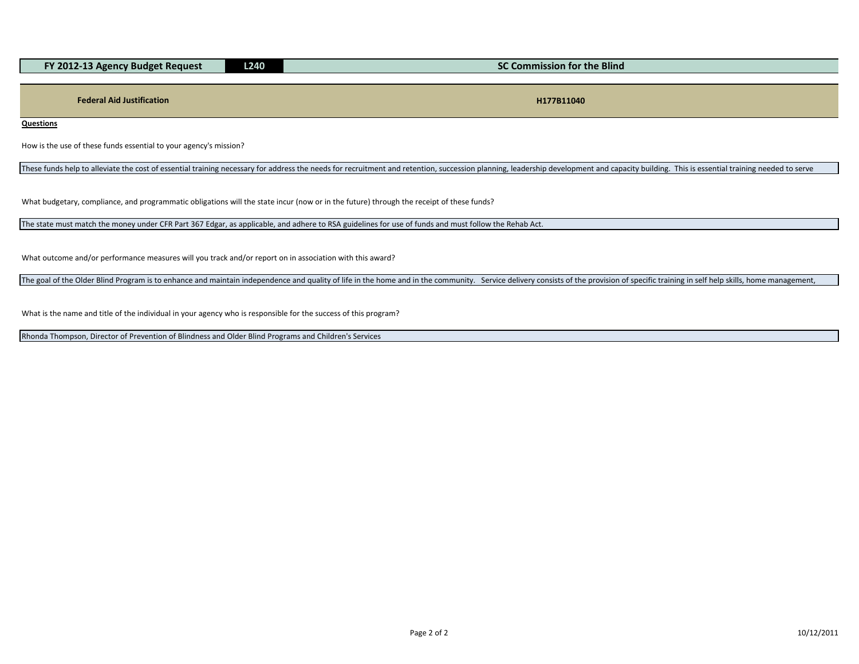| L240<br>FY 2012-13 Agency Budget Request |  | SC Commission for the Blind |
|------------------------------------------|--|-----------------------------|
|                                          |  |                             |
|                                          |  |                             |
| <b>Federal Aid Justification</b>         |  | H177B11040                  |

**Questions**

How is the use of these funds essential to your agency's mission?

These funds help to alleviate the cost of essential training necessary for address the needs for recruitment and retention, succession planning, leadership development and capacity building. This is essential training need

What budgetary, compliance, and programmatic obligations will the state incur (now or in the future) through the receipt of these funds?

The state must match the money under CFR Part 367 Edgar, as applicable, and adhere to RSA guidelines for use of funds and must follow the Rehab Act.

What outcome and/or performance measures will you track and/or report on in association with this award?

The goal of the Older Blind Program is to enhance and maintain independence and quality of life in the home and in the community. Service delivery consists of the provision of specific training in self help skills, home ma

What is the name and title of the individual in your agency who is responsible for the success of this program?

Rhonda Thompson, Director of Prevention of Blindness and Older Blind Programs and Children's Services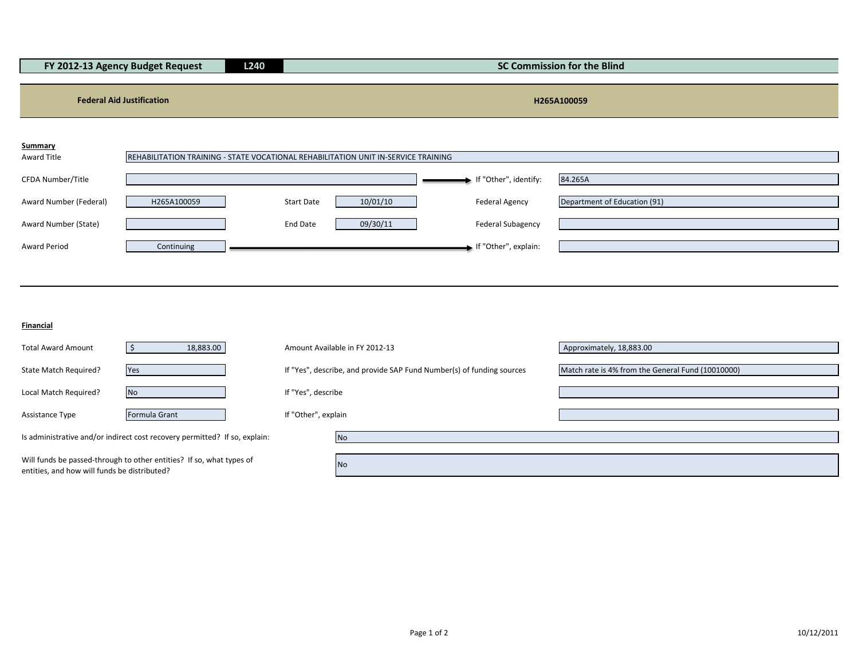| L240<br>FY 2012-13 Agency Budget Request |             |            | <b>SC Commission for the Blind</b>                                                 |                          |                              |  |
|------------------------------------------|-------------|------------|------------------------------------------------------------------------------------|--------------------------|------------------------------|--|
| <b>Federal Aid Justification</b>         |             |            |                                                                                    |                          | H265A100059                  |  |
| <b>Summary</b><br>Award Title            |             |            | REHABILITATION TRAINING - STATE VOCATIONAL REHABILITATION UNIT IN-SERVICE TRAINING |                          |                              |  |
| CFDA Number/Title                        |             |            |                                                                                    | If "Other", identify:    | 84.265A                      |  |
| Award Number (Federal)                   | H265A100059 | Start Date | 10/01/10                                                                           | <b>Federal Agency</b>    | Department of Education (91) |  |
| Award Number (State)                     |             | End Date   | 09/30/11                                                                           | <b>Federal Subagency</b> |                              |  |

Award Period **Continuing Continuing Intervention Continuing** Intervention Continuing Intervention Continuing Intervention Continuing Intervention Continuing Intervention Continuing Intervention Continuing Intervention Cont

**Financial**

| <b>Total Award Amount</b>                    | 18,883.00                                                                  | Amount Available in FY 2012-13                                        | Approximately, 18,883.00                          |
|----------------------------------------------|----------------------------------------------------------------------------|-----------------------------------------------------------------------|---------------------------------------------------|
| State Match Required?                        | Yes                                                                        | If "Yes", describe, and provide SAP Fund Number(s) of funding sources | Match rate is 4% from the General Fund (10010000) |
| Local Match Required?                        | <b>No</b>                                                                  | If "Yes", describe                                                    |                                                   |
| Assistance Type                              | Formula Grant                                                              | If "Other", explain                                                   |                                                   |
|                                              | Is administrative and/or indirect cost recovery permitted? If so, explain: | No.                                                                   |                                                   |
| entities, and how will funds be distributed? | Will funds be passed-through to other entities? If so, what types of       | No.                                                                   |                                                   |